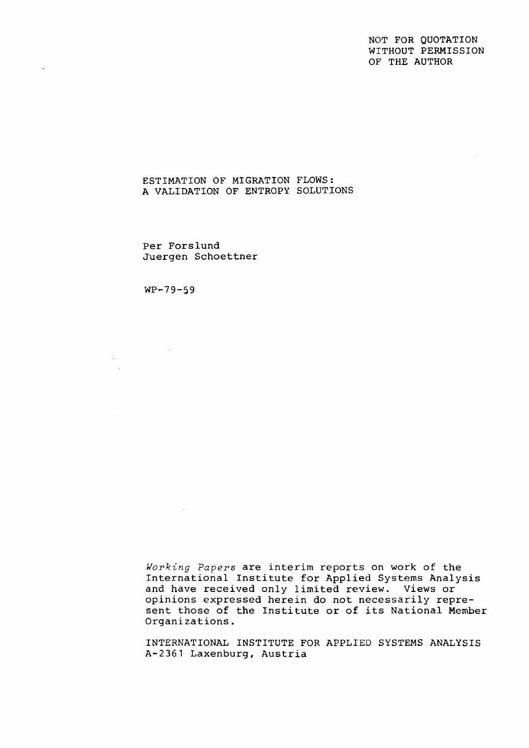NOT FOR QUOTATION WITHOUT PERMISSION OF THE AUTHOR

#### ESTIMATION OF MIGRATION FLOWS : A VALIDATION OF ENTROPY SOLUTIONS

Per Forslund Juergen Schoettner

 $WP-79-59$ 

 $\sim 10$ 

 $\mathcal{L}$  $\mathbb{R}^2$ 

> Working Papers are interim reports on work of the International Institute for Applied Systems Analysis and have received only limited review. Views or opinions expressed herein do not necessarily represent those of the Institute or of its National Member Organizations.

INTERNATIONAL INSTITUTE FOR APPLIED SYSTEMS ANALYSIS A-2361 Laxenburg, Austria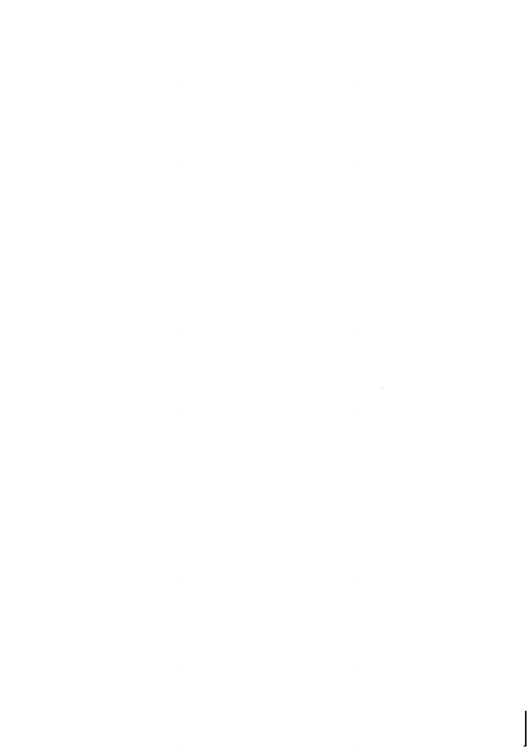$\label{eq:2.1} \frac{1}{\sqrt{2}}\int_{0}^{\infty}\frac{1}{\sqrt{2\pi}}\left(\frac{1}{\sqrt{2\pi}}\right)^{2\alpha} \frac{1}{\sqrt{2\pi}}\int_{0}^{\infty}\frac{1}{\sqrt{2\pi}}\left(\frac{1}{\sqrt{2\pi}}\right)^{\alpha} \frac{1}{\sqrt{2\pi}}\frac{1}{\sqrt{2\pi}}\int_{0}^{\infty}\frac{1}{\sqrt{2\pi}}\frac{1}{\sqrt{2\pi}}\frac{1}{\sqrt{2\pi}}\frac{1}{\sqrt{2\pi}}\frac{1}{\sqrt{2\pi}}\frac{1}{\sqrt{2\pi}}$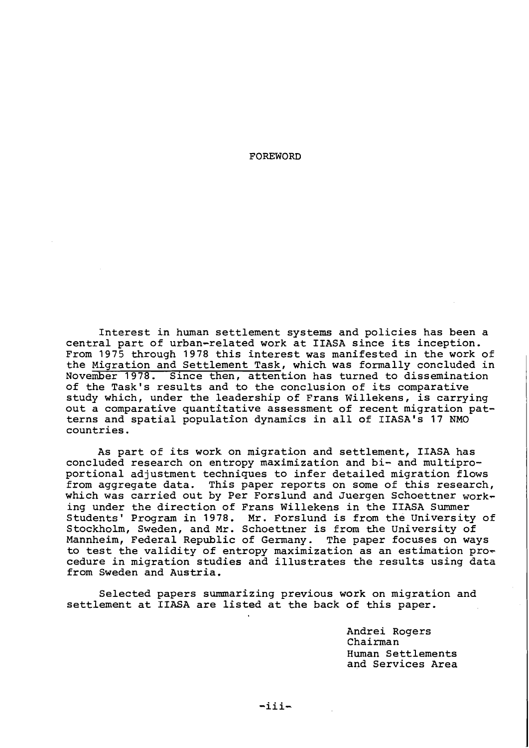FOREWORD

Interest in human settlement systems and policies has been a central part of urban-related work at IIASA since its inception. From **1975** through **1978** this interest was manifested in the work of the Migration and Settlement Task, which was formally concluded in November **1978.** Since then, attention has turned to dissemination of the Task's results and to the conclusion of its comparative study which, under the leadership of Frans Willekens, is carrying out a comparative quantitative assessment of recent migration patterns and spatial population dynamics in all of IIASA's **17** NMO countries.

As part of its work on migration and settlement, IIASA has concluded research on entropy maximization and bi- and multiproportional adjustment techniques to infer detailed migration flows from aggregate data. This paper reports on some of this research, which was carried out by Per Forslund and Juergen Schoettner working under the direction of Frans Willekens in the IIASA Summer Students' Program in **1978.** Mr. Forslund is from the University of Stockholm, Sweden, and Mr. Schoettner is from the University of Mannheim, Federal Republic of Germany. The paper focuses on ways to test the validity of entropy maximization as an estimation procedure in migration studies and illustrates the results using data from Sweden and Austria.

Selected papers summarizing previous work on migration and settlement at IIASA are listed at the back of this paper.

> Andrei Rogers Chairman Human Settlements and Services Area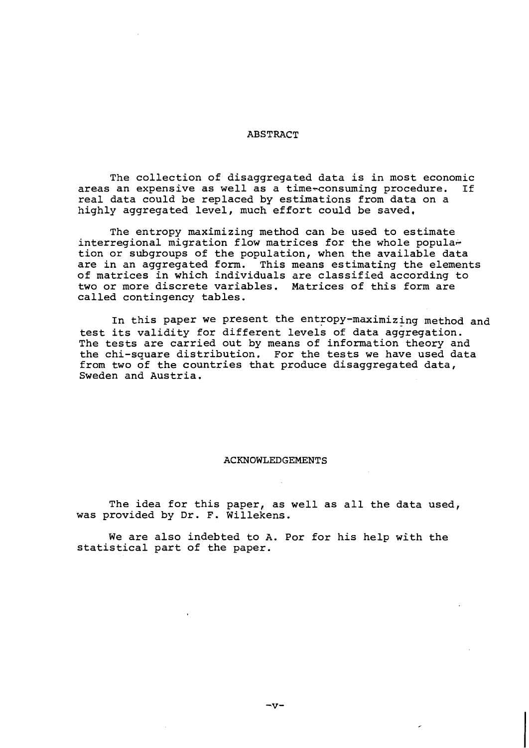#### ABSTRACT

The collection of disaggregated data is in most economic<br>an expensive as well as a time-consuming procedure. If areas an expensive as well as a time-consuming procedure. real data could be replaced by estimations from data on a highly aggregated level, much effort could be saved,

The entropy maximizing method can be used to estimate interregional migration flow matrices for the whole population or subgroups of the population, when the available data are in an aggregated form. This means estimating the elements of matrices in which individuals are classified according to two or more discrete variables. Matrices of this form are called contingency tables.

In this paper we present the entropy-maximizing method and test its validity for different levels of data aggregation. The tests are carried out by means of information theory and the chi-square distribution. For the tests we have used data from two of the countries that produce disaggregated data, Sweden and Austria.

#### ACKNOWLEDGEMENTS

The idea for this paper, as well as all the data used, was provided by Dr. F. Willekens.

We are also indebted to A. Por for his help with the statistical part of the paper.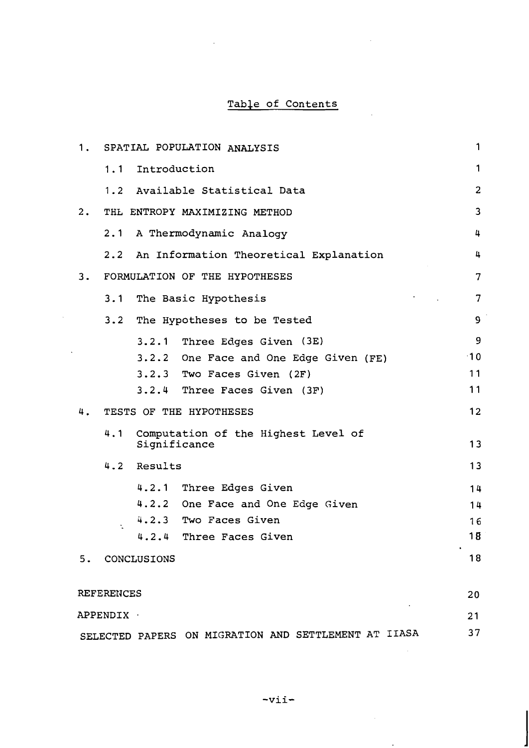## Table of Contents

 $\sim$ 

 $\sim$   $\sim$ 

 $\mathcal{L}_{\mathcal{L}}$ 

| 1. |                   | SPATIAL POPULATION ANALYSIS                          | 1                        |
|----|-------------------|------------------------------------------------------|--------------------------|
|    | 1.1               | Introduction                                         | 1                        |
|    |                   | 1.2 Available Statistical Data                       | $\overline{2}$           |
| 2. |                   | THE ENTROPY MAXIMIZING METHOD                        | 3                        |
|    | 2.1               | A Thermodynamic Analogy                              | 4                        |
|    | 2.2               | An Information Theoretical Explanation               | 4                        |
| 3. |                   | FORMULATION OF THE HYPOTHESES                        | 7                        |
|    | 3.1               | The Basic Hypothesis                                 | $\overline{\mathcal{L}}$ |
|    | 3.2               | The Hypotheses to be Tested                          | 9                        |
|    |                   | Three Edges Given (3E)<br>3.2.1                      | 9                        |
|    |                   | 3.2.2 One Face and One Edge Given (FE)               | $\cdot$ 10               |
|    |                   | 3.2.3 Two Faces Given (2F)                           | 11                       |
|    |                   | 3.2.4 Three Faces Given (3F)                         | 11                       |
| 4. |                   | TESTS OF THE HYPOTHESES                              | 12                       |
|    | 4.1               | Computation of the Highest Level of<br>Significance  | 13                       |
|    | 4.2               | Results                                              | 13                       |
|    |                   | 4.2.1 Three Edges Given                              | 14                       |
|    |                   | 4.2.2 One Face and One Edge Given                    | 14                       |
|    |                   | 4.2.3 Two Faces Given                                | 16                       |
|    |                   | Three Faces Given<br>4.2.4                           | 18                       |
| 5. |                   | CONCLUSIONS                                          | 18                       |
|    | <b>REFERENCES</b> |                                                      | 20                       |
|    | <b>APPENDIX</b>   |                                                      | 21                       |
|    |                   | SELECTED PAPERS ON MIGRATION AND SETTLEMENT AT IIASA | 37                       |

 $\ddot{\phantom{1}}$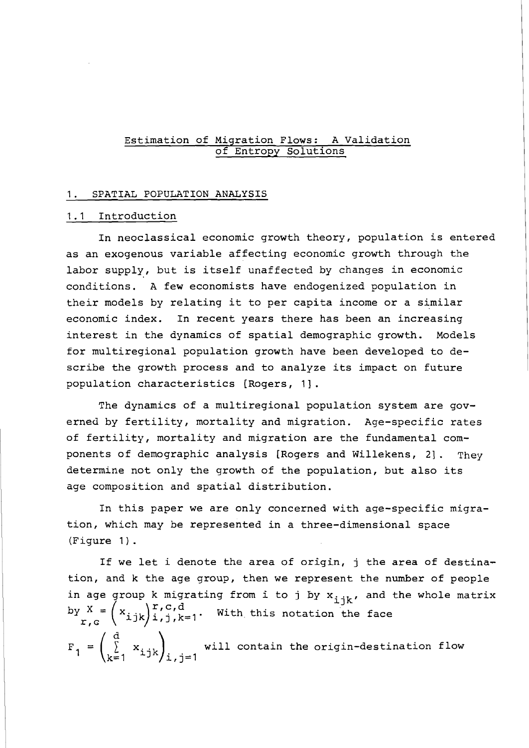#### Estimation of Migration Flows: A Validation of Entropy Solutions

#### **1. SPATIAL POPULATION ANALYSIS**

#### **1.1** Introduction

In neoclassical economic growth theory, population is entered as an exogenous variable affecting economic growth through the labor supply, but is itself unaffected by changes in economic conditions. A few economists have endogenized population in their models by relating it to per capita income or a similar economic index. In recent years there has been an increasing interest in the dynamics of spatial demographic growth. Models for multiregional population growth have been developed to describe the growth process and to analyze its impact on future population characteristics [Rogers, I].

The dynamics of a multiregional population system are governed by fertility, mortality and migration. Age-specific rates of fertility, mortality and migration are the fundamental components of demographic analysis [Rogers and Willekens, 21. They determine not only the growth of the population, but also its age composition and spatial distribution.

In this paper we are only concerned with age-specific migration, which may be represented in a three-dimensional space (Figure **1** ) .

If we let i denote the area of origin, j the area of destination, and k the age group, then we represent the number of people in age group  $k$  migrating from i to j by  $x_{i,jk}$ , and the whole matrix by  $X = \begin{pmatrix} x_{i,jk} & x_{i,j,k+1} \\ i,j,k+1 & i \end{pmatrix}$ . With this notation the face **d**  will contain the origin-destination flow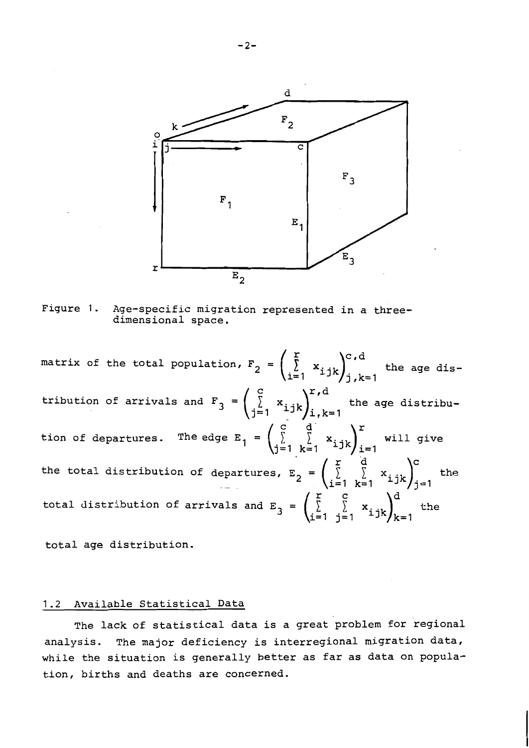

Figure 1. Age-specific migration represented in a threedimensional space.

matrix of the total population,  $F_2 = \begin{pmatrix} F & F \ \end{pmatrix} c$ ,d the age dis $j$ ,  $k=1$ tribution of arrivals and  $F_3 = \left(\sum_{j=1}^C x_{1jk}\right)_{i,k=1}^{r,d}$  the age distribuc **d'**  tion of departures. The edge  $E_i = \begin{pmatrix} 0 & u \ 1 & v \end{pmatrix}^T$  will give  $j=1$  k=1  $1JK$  $j=1$ total distribution of arrivals and  $E_3 = \left(\sum_{i=1}^{r} \sum_{j=1}^{C} x_{i,jk}\right)_{k=1}^{d}$  the

total age distribution.

#### 1.2 Available Statistical Data

The lack of statistical data is a great problem for regional analysis. The major deficiency is interregional migration data, while the situation is generally better as far as data on population, births and deaths are concerned.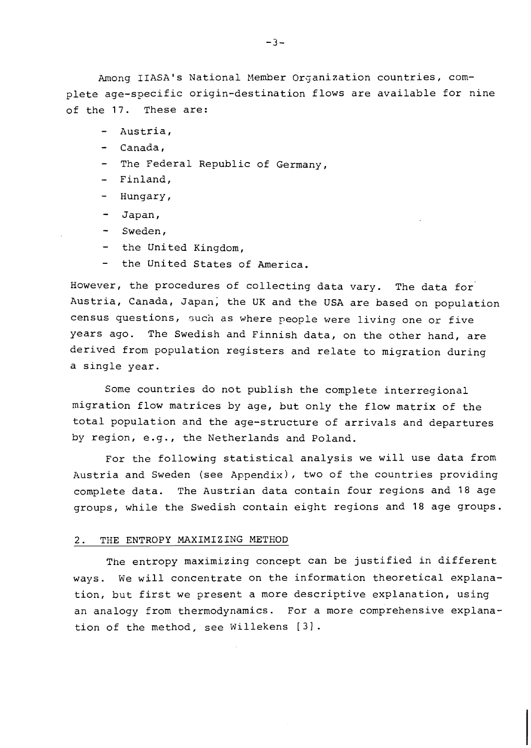Among IIASA's National Member Organization countries, complete age-specific origin-destination flows are available for nine of the 17. These are:

- Austria,
- Canada,
- The Federal Republic of Germany,
- Finland,
- Hungary,
- Japan,
- Sweden,
- the United Kingdom,
- the United States of America.

However, the procedures of collecting data vary. The data for Austria, Canada, Japan, the UK and the USA are based on population census questions, such as where people were living one or five years ago. The Swedish and Finnish data, on the other hand, are derived from population registers and relate to migration during a single year.

Some countries do not publish the complete interregional migration flow matrices by age, but only the flow matrix of the total population and the age-structure of arrivals and departures by region, e.g., the Netherlands and Poland.

For the following statistical analysis we will use data from Austria and Sweden (see Appendix), two of the countries providing complete data. The Austrian data contain four regions and 18 age groups, while the Swedish contain eight regions and 18 age groups.

#### 2. THE ENTROPY MAXIMIZING METHOD

The entropy maximizing concept can be justified in different ways. We will concentrate on the information theoretical explanation, but first we present a more descriptive explanation, using an analogy from thermodynamics. For a more comprehensive explanation of the method, see Willekens [3].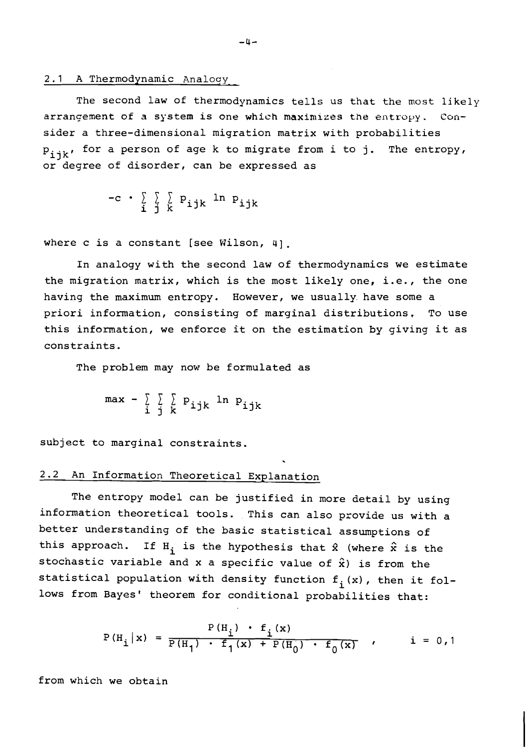#### 2.1 A Thermodynamic Analogy

The second law of thermodynamics tells us that the most likely arrangement of a system is one which maximizes the entropy. Consider a three-dimensional migration matrix with probabilities  $p_{i,jk}$ , for a person of age k to migrate from i to j. The entropy, or degree of disorder, can be expressed as

-c  $\cdot$   $\sum_{i}$   $\sum_{j}$   $P_{ijk}$  ln  $P_{ijk}$ 

where c is a constant [see Wilson, 41.

In analogy with the second law of thermodynamics we estimate the migration matrix, which is the most likely one, i.e., the one having the maximum entropy. However, we usually.have some a priori information, consisting of marginal distributions, To use this information, we enforce it on the estimation by giving it as constraints.

The problem may now be formulated as

 $\max$  -  $\sum_{i}$   $\sum_{j}$   $P_{ijk}$  ln  $P_{ijk}$ 

subject to marginal constraints.

#### **2.2** An Information Theoretical Explanation

The entropy model can be justified in more detail by using information theoretical tools. This can also provide us with a better understanding of the basic statistical assumptions of this approach. If H<sub>i</sub> is the hypothesis that  $\hat{x}$  (where  $\hat{x}$  is the stochastic variable and x a specific value of  $\hat{x}$ ) is from the statistical population with density function  $f_i(x)$ , then it follows from Bayes' theorem for conditional probabilities that:

$$
P(H_{i}|x) = \frac{P(H_{i}) \cdot f_{i}(x)}{P(H_{1}) \cdot f_{1}(x) + P(H_{0}) \cdot f_{0}(x)}, \qquad i = 0, 1
$$

from which we obtain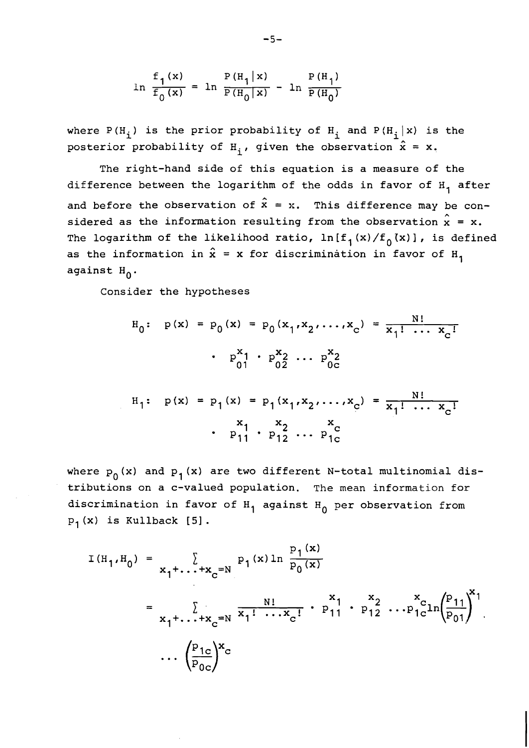$$
\ln \frac{f_1(x)}{f_0(x)} = \ln \frac{P(H_1|x)}{P(H_0|x)} - \ln \frac{P(H_1)}{P(H_0)}
$$

where P(H<sub>i</sub>) is the prior probability of H<sub>i</sub> and P(H<sub>i</sub>|x) is the posterior probability of H<sub>i</sub>, given the observation  $\hat{x} = x$ .

The right-hand side of this equation is a measure of the difference between the logarithm of the odds in favor of **H,** after and before the observation of  $\hat{x} = x$ . This difference may be considered as the information resulting from the observation  $\hat{x} = x$ . The logarithm of the likelihood ratio,  $ln[f_1(x)/f_0(x)]$ , is defined as the information in  $\hat{x} = x$  for discrimination in favor of H<sub>1</sub> against  $H_0$ .

Consider the hypotheses

$$
H_0: p(x) = p_0(x) = p_0(x_1, x_2, ..., x_c) = \frac{N!}{x_1! ... x_c!}
$$
  
\n
$$
\cdot p_0^x 1 \cdot p_0^x 2 ... p_{0c}^x 2
$$
  
\n
$$
H_1: p(x) = p_1(x) = p_1(x_1, x_2, ..., x_c) = \frac{N!}{x_1! ... x_c!}
$$
  
\n
$$
\cdot p_{11}^x \cdot p_{12}^x ... p_{1c}^x
$$

where  $p_0(x)$  and  $p_1(x)$  are two different N-total multinomial distributions on a c-valued population. The mean information for discrimination in favor of  $H_1$  against  $H_0$  per observation from p1 (x) is Kullback **[5].** 

$$
I(H_1, H_0) = \sum_{x_1 + ... + x_c = N} p_1(x) \ln \frac{p_1(x)}{p_0(x)}
$$
  
= 
$$
\sum_{x_1 + ... + x_c = N} \frac{N!}{x_1! ... x_c!} \cdot p_{11}^{x_1} \cdot p_{12}^{x_2} ... p_{1c}^{x_c} \ln \left(\frac{p_{11}}{p_{01}}\right)^{x_1}
$$
  

$$
... \left(\frac{p_{1c}}{p_{0c}}\right)^{x_c}
$$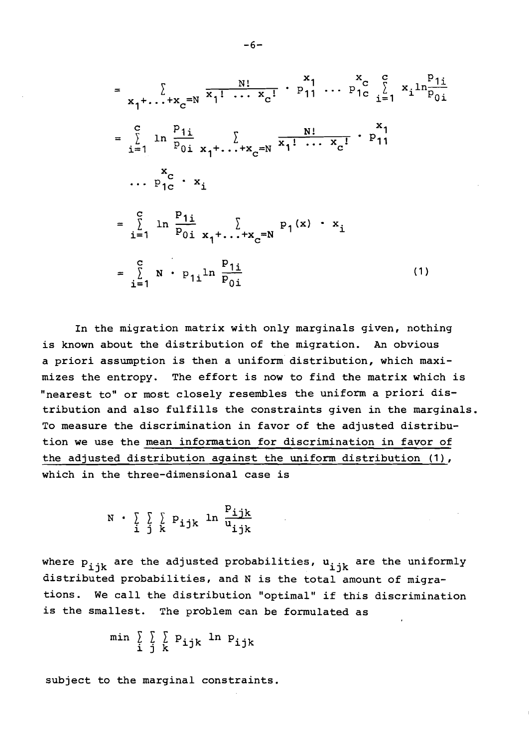$$
= \sum_{x_1 + ... + x_c = N} \frac{N!}{x_1! ... x_c!} \cdot p_{11}^{x_1} ... p_{1c}^{x_c} \sum_{i=1}^{c} x_i ln \frac{p_{1i}}{p_{0i}}
$$
  
\n
$$
= \sum_{i=1}^{c} ln \frac{p_{1i}}{p_{0i}} \sum_{x_1 + ... + x_c = N} \frac{N!}{x_1! ... x_c!} \cdot p_{11}^{x_1}
$$
  
\n
$$
= \sum_{i=1}^{c} ln \frac{p_{1i}}{p_{0i}} \sum_{x_1 + ... + x_c = N} p_1(x) \cdot x_i
$$
  
\n
$$
= \sum_{i=1}^{c} N \cdot p_{1i} ln \frac{p_{1i}}{p_{0i}}
$$
 (1)

In the migration matrix with only marginals given, nothing is known about the distribution of the migration. An obvious a priori assumption is then a uniform distribution, which maximizes the entropy. The effort is now to find the matrix which is "nearest to" or most closely resembles the uniform a priori distribution and also fulfills the constraints given in the marginals. To measure the discrimination in favor of the adjusted distribution we use the mean information for discrimination in favor of the adjusted distribution against the uniform distribution (1), which in the three-dimensional case is

$$
N \cdot \sum_{i} \sum_{j} P_{ijk} \ln \frac{p_{ijk}}{u_{ijk}}
$$

where  $p_{ijk}$  are the adjusted probabilities,  $u_{ijk}$  are the uniformly distributed probabilities, and N is the total amount of migrations. We call the distribution "optimal" if this discrimination is the smallest. The problem can be formulated as

$$
\min \; \sum_{i \; j} \; \sum_{k} \; p_{ijk} \; \ln \; p_{ijk}
$$

subject to the marginal constraints.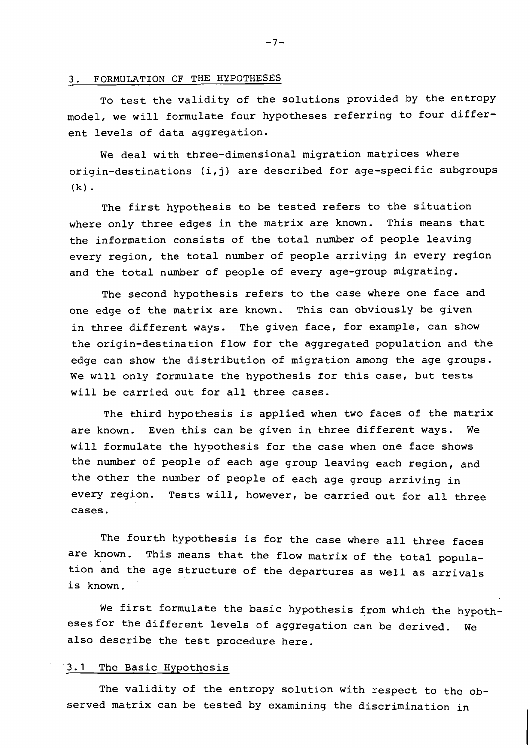## **3.** FORMULATION OF THE HYPOTHESES

To test the validity of the solutions provided by the entropy model, we will formulate four hypotheses referring to four different levels of data aggregation.

We deal with three-dimensional migration matrices where origin-destinations (i,j) are described for age-specific subgroups  $(k)$ .

The first hypothesis to be tested refers to the situation where only three edges in the matrix are known. This means that the information consists of the total number of people leaving every region, the total number of people arriving in every region and the total number of people of every age-group migrating.

The second hypothesis refers to the case where one face and one edge of the matrix are known. This can obviously be given in three different ways. The given face, for example, can show the origin-destination flow for the aggregated population and the edge can show the distribution of migration among the age groups. We will only formulate the hypothesis for this case, but tests will be carried out for all three cases.

The third hypothesis is applied when two faces of the matrix are known. Even this can be given in three different ways. We will formulate the hypothesis for the case when one face shows the number of people of each age group leaving each region, and the other the number of people of each age group arriving in every region. Tests will, however, be carried out for all three cases.

The fourth hypothesis is for the case where all three faces are known. This means that the flow matrix of the total population and the age structure of the departures as well as arrivals is known.

We first formulate the basic hypothesis from which the hypotheses for the different levels of aggregation can be derived. We also describe the test procedure here.

#### 3.1 The Basic Hypothesis

The validity of the entropy solution with respect to the observed matrix can be tested by examining the discrimination in

 $-7-$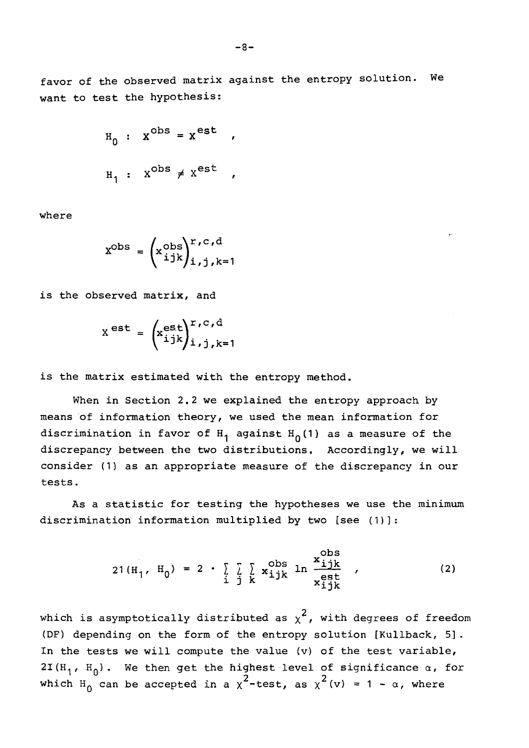favor of the observed matrix against the entropy solution. We want to test the hypothesis:

$$
H_0: x^{obs} = x^{est} ,
$$
  

$$
H_1: x^{obs} \neq x^{est} ,
$$

where

$$
X^{obs} = \left(x^{obs}\right)^{r,c,d}_{i,j,k=1}
$$

is the observed matrix, and

$$
X^{est} = \left(x_{ijk}^{est}\right)_{i,j,k=1}^{r,c,d}
$$

is the matrix estimated with the entropy method.

When in Section 2.2 we explained the entropy approach by means of information theory, we used the mean information for discrimination in favor of  $H_1$  against  $H_0(1)$  as a measure of the discrepancy between the two distributions, Accordingly, we will consider (1) as an appropriate measure of the discrepancy in our tests.

As a statistic for testing the hypotheses we use the minimum discrimination information multiplied by two [see (I)]:

$$
21(H_1, H_0) = 2 \cdot \sum_{\substack{i \ j \ k}}^{\infty} \sum_{\substack{k \ i \ j \ k}}^{\text{obs}} \ln \frac{x_{ijk}^{\text{obs}}}{x_{ijk}^{\text{est}}},
$$
 (2)

which is asymptotically distributed as  $\chi^2$ , with degrees of freedom (DF) depending on the form of the entropy solution [Kullback, 5]. In the tests we will compute the value (v) of the test variable, 2I(H<sub>1</sub>, H<sub>0</sub>). We then get the highest level of significance  $\alpha$ , for which H<sub>o</sub> can be accepted in a  $\chi^2$ -test, as  $\chi^2$  (v) = 1 -  $\alpha$ , where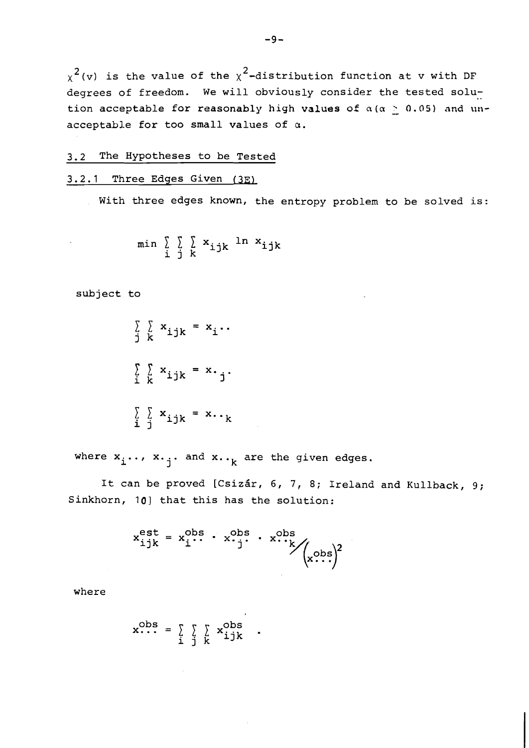$\chi^2$ (v) is the value of the  $\chi^2$ -distribution function at **v** with DF degrees of freedom. We will obviously consider the tested solution acceptable for reasonably high values of  $\alpha$  ( $\alpha > 0.05$ ) and unacceptable for too small values of  $\alpha$ .

### **3.2** The Hypotheses to be Tested

#### **3.2.1 Three Edges Given (3E)**

With three edges known, the entropy problem to be solved is:

$$
\min \; \sum_{i \; j} \; \sum_{k} \; \mathbf{x}_{ijk} \; \ln \; \mathbf{x}_{ijk}
$$

subject to

$$
\sum_{j} \sum_{k} x_{ijk} = x_{i} \cdot \sum_{i} \sum_{k} x_{ijk} = x \cdot \sum_{j} \cdot \sum_{i} x_{ijk} = x \cdot \sum_{k} \cdot \sum_{k} x_{ijk} = x \cdot \sum_{k} \cdot \sum_{k} x_{ijk} = x \cdot \sum_{k} x_{ijk} = x \cdot \sum_{k} x_{ijk} = x \cdot \sum_{k} x_{ijk} = x \cdot \sum_{k} x_{ijk} = x \cdot \sum_{k} x_{ijk} = x \cdot \sum_{k} x_{ijk} = x \cdot \sum_{k} x_{ijk} = x \cdot \sum_{k} x_{ijk} = x \cdot \sum_{k} x_{ijk} = x \cdot \sum_{k} x_{ik} = x \cdot \sum_{k} x_{ik} = x \cdot \sum_{k} x_{ik} = x \cdot \sum_{k} x_{ik} = x \cdot \sum_{k} x_{ik} = x \cdot \sum_{k} x_{ik} = x \cdot \sum_{k} x_{ik} = x \cdot \sum_{k} x_{ik} = x \cdot \sum_{k} x_{ik} = x \cdot \sum_{k} x_{ik} = x \cdot \sum_{k} x_{ik} = x \cdot \sum_{k} x_{ik} = x \cdot \sum_{k} x_{ik} = x \cdot \sum_{k} x_{ik} = x \cdot \sum_{k} x_{ik} = x \cdot \sum_{k} x_{ik} = x \cdot \sum_{k} x_{ik} = x \cdot \sum_{k} x_{ik} = x \cdot \sum_{k} x_{ik} = x \cdot \sum_{k} x_{ik} = x \cdot \sum_{k} x_{ik} = x \cdot \sum_{k} x_{ik} = x \cdot \sum_{k} x_{ik} = x \cdot \sum_{k} x_{ik} = x \cdot \sum_{k} x_{ik} = x \cdot \sum_{k} x_{ik} = x \cdot \sum_{k} x_{ik} = x \cdot \sum_{k} x_{ik} = x \cdot \sum_{k} x_{ik} = x \cdot \sum_{k} x_{ik} = x \cdot \sum_{k} x_{ik} = x \cdot \sum_{k} x_{ik} = x \cdot \sum_{k} x_{ik} = x \cdot \sum_{k} x_{ik} = x \cdot \sum_{k} x_{ik} = x \cdot \sum_{k} x_{ik} = x \cdot \sum_{k} x_{ik} = x \cdot \sum_{k} x_{ik} = x \cdot \sum_{k} x_{ik} = x \cdot \sum_{k} x_{ik} = x \cdot \sum_{k} x_{ik} = x \cdot \sum_{k} x_{ik} = x
$$

where  $x_i \ldots$ ,  $x \ldots$  and  $x \ldots$ <sub>k</sub> are the given edges.

It can be proved [Csizár, 6, 7, 8; Ireland and Kullback, 9; Sinkhorn, 10] that this has the solution:

$$
x_{ijk}^{est} = x_i^{obs} \cdot x_{j}^{obs} \cdot x_{k}^{obs} \cdot (x_{i}^{obs})^2
$$

where

$$
x^{\text{obs}} = \sum_{i} \sum_{j} x^{\text{obs}}_{ijk}.
$$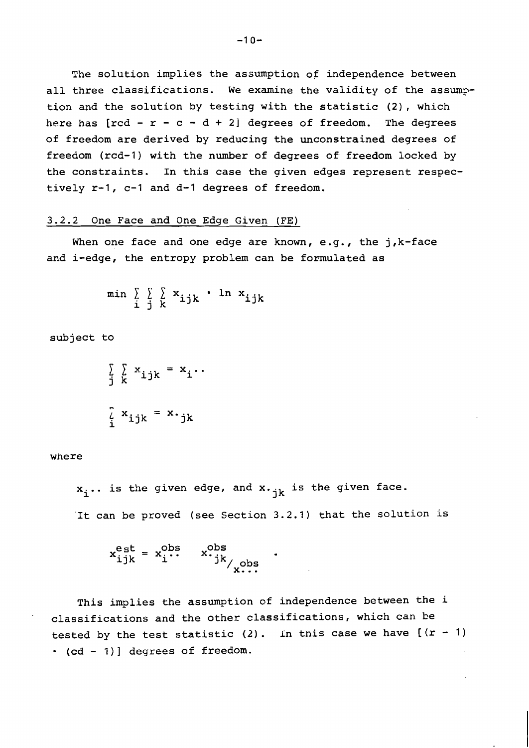The solution implies the assumption of independence between all three classifications. We examine the validity of the assumption and the solution by testing with the statistic **(2),** which here has  $[rcd - r - c - d + 2]$  degrees of freedom. The degrees of freedom are derived by reducing the unconstrained degrees of freedom (rcd-1) with the number of degrees of freedom locked by the constraints. In this case the given edges represent respectively r-1, c-1 and d-1 degrees of freedom.

#### 3.2.2 One Face and One Edge Given (FE)

When one face and one edge are known, e.g., the j,k-face and i-edge, the entropy problem can be formulated as

> min  $\sum_i \sum_i \mathbf{x}_{i,ik}$  · ln  $\mathbf{x}_{i,ik}$ ijk

subject to

$$
\sum_{\substack{j \ i \ j}} x_{ijk} = x_i \cdots
$$

where

 $x_i$ .. is the given edge, and  $x_{i,k}$  is the given face. 'It can be proved (see Section 3.2.1) that the solution is

$$
x_{ijk}^{est} = x_i^{obs} \t x_{jk}^{obs} / x_{x}^{obs}
$$

This implies the assumption of independence between the i classifications and the other classifications, which can be tested by the test statistic  $(2)$ . In this case we have  $[(r - 1)$  $\cdot$  (cd - 1)] degrees of freedom.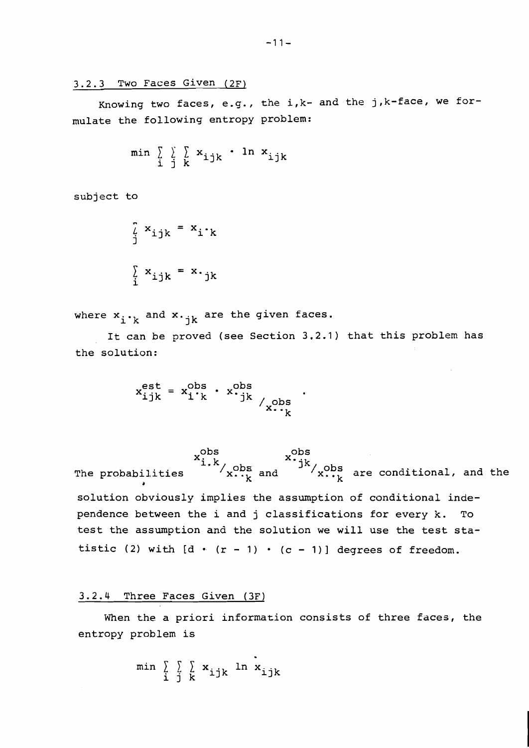#### $3.2.3$  Two Faces Given  $(2F)$

Knowing two faces, e.g., the  $i, k-$  and the  $j, k-$  face, we formulate the following entropy problem:

$$
\text{min} \ \underset{\text{i} \ j}{\sum} \ \underset{\text{k}}{\sum} \ x_{\text{i}jk} \cdot \text{ln} \ x_{\text{i}jk}
$$

subject to

$$
\sum_{j=1}^{n} x_{ijk} = x_{i \cdot k}
$$
  

$$
\sum_{i=1}^{n} x_{ijk} = x_{ijk}
$$

where  $x_i \cdot_k$  and  $x \cdot j_k$  are the given faces.

It can be proved (see Section 3.2.1) that this problem has the solution:

$$
x_{ijk}^{est} = x_{i,k}^{obs} \cdot x_{jk}^{obs} / x_{k,k}^{obs}
$$

 $x_{n,k}^{\text{obs}}$   $x_{n+1,k}^{\text{obs}}$ i.k,  $\lambda$ . The probabilities **/x?b~** and jk/xobs are conditional. and the **<sup>1</sup>**'k solution obviously implies the assumption of conditional independence between the i and **j** classifications for every k. To test the assumption and the solution we will use the test statistic (2) with  $[d \cdot (r - 1) \cdot (c - 1)]$  degrees of freedom.

#### 3.2.4 Three Faces Given (3F)

When the a priori information consists of three faces, the entropy problem is

$$
\min \; \sum_{i \; j} \; \sum_{k} \; x_{ijk} \; \ln \; x_{ijk}
$$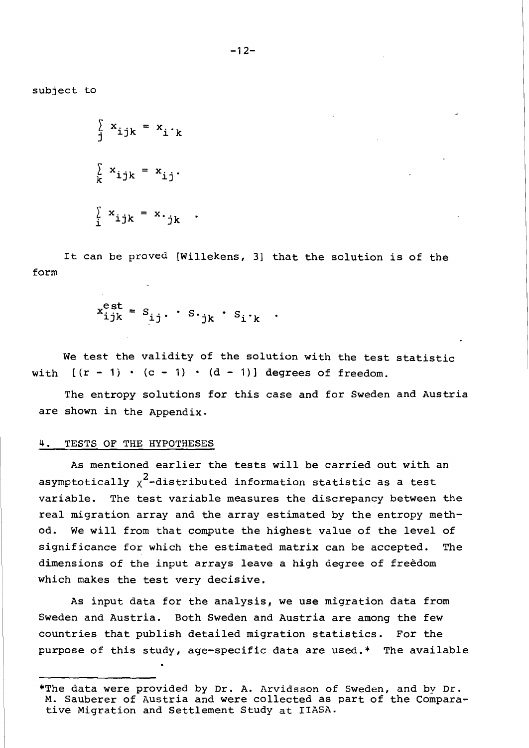subject to

$$
\sum_{j} x_{ijk} = x_{i \cdot k}
$$
  

$$
\sum_{k} x_{ijk} = x_{ij}.
$$
  

$$
\sum_{i} x_{ijk} = x_{ijk}
$$

It can be proved [Willekens, **31** that the solution is of the form

$$
x_{ijk}^{est} = s_{ij} \cdot s_{jk} \cdot s_{i'k}
$$

We test the validity of the solution with the test statistic with  $[(r - 1) \cdot (c - 1) \cdot (d - 1)]$  degrees of freedom.

The entropy solutions for this case and for Sweden and Austria are shown in the Appendix.

#### 4. TESTS OF THE HYPOTHESES

As mentioned earlier the tests will be carried out with an asymptotically  $\chi^2$ -distributed information statistic as a test variable. The test variable measures the discrepancy between the real migration array and the array estimated by the entropy method. We will from that compute the highest value of the level of significance for which the estimated matrix can be accepted. The dimensions of the input arrays leave a high degree of freedom which makes the test very decisive.

As input data for the analysis, we use migration data from Sweden and Austria. Both Sweden and Austria are among the few countries that publish detailed migration statistics. For the purpose of this study, age-specific data are used.\* The available

<sup>\*</sup>The data were provided by Dr. A. Arvidsson of Sweden, and by Dr. M. Sauberer of Austria and were collected as part of the Comparative Migration and Settlement Study at IIASA.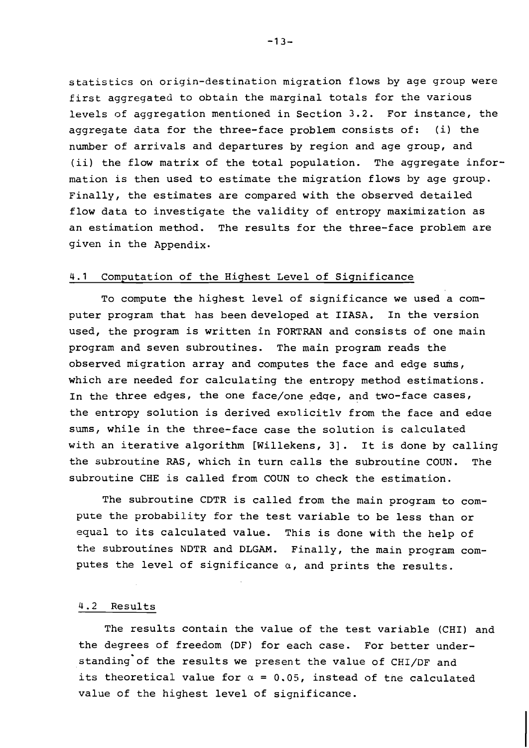statistics on origin-destination migration flows by age group were first aggregated to obtain the marginal totals for the various levels of aggregation mentioned in Section **3.2.** For instance, the aggregate data for the three-face problem consists of: (i) the number of arrivals and departures by region and age group, and (ii) the flow matrix of the total population. The aggregate information is then used to estimate the migration flows by age group. Finally, the estimates are compared with the observed detailed flow data to investigate the validity of entropy maximization as an estimation method. The results for the three-face problem are given in the Appendix.

#### 4.1 Computation of the Highest Level of Significance

To compute the highest level of significance we used a computer program that has beendeveloped at IIASA, In the version used, the program is written in FORTRAN and consists of one main program and seven subroutines. The main program reads the observed migration array and computes the face and edge sums, which are needed for calculating the entropy method estimations. In the three edges, the one face/one edqe, and two-face cases, the entropy solution is derived explicitly from the face and edge sums, while in the three-face case the solution is calculated with an iterative algorithm [Willekens, **31.** It is done by calling the subroutine RAS, which in turn calls the subroutine COUN. The subroutine CHE is called from COUN to check the estimation.

The subroutine CDTR is called from the main program to compute the probability for the test variable to be less than or equzl to its calculated value. This is done with the help of the subroutines NDTR and DLGAM. Finally, the main program computes the level of significance  $\alpha$ , and prints the results.

#### 4.2 Results

The results contain the value of the test variable (CHI) and the degrees of freedom (DF) for each case. For better understanding'of the results we present the value of CHI/DF and its theoretical value for  $\alpha = 0.05$ , instead of the calculated value of the highest level of significance.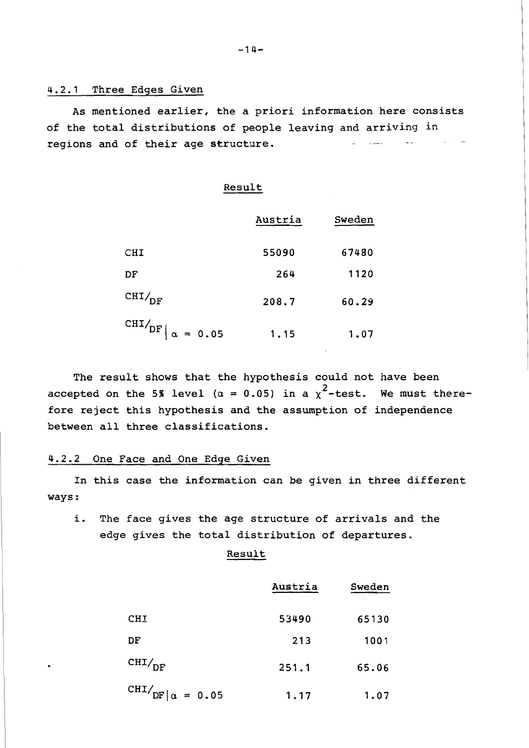#### 4.2.1 Three Edges Given

As mentioned earlier, the a priori information here consists of the total distributions of people leaving and arriving in regions and of their age structure.

| Result                                        |         |        |
|-----------------------------------------------|---------|--------|
|                                               | Austria | Sweden |
| CHI                                           | 55090   | 67480  |
| DF                                            | 264     | 1120   |
| $CHI/_{\rm DF}$                               | 208.7   | 60.29  |
| $\text{CHI}_{\text{DF}}\big _{\alpha} = 0.05$ | 1.15    | 1.07   |

The result shows that the hypothesis could not have been accepted on the 5% level ( $\alpha = 0.05$ ) in a  $\chi^2$ -test. We must therefore reject this hypothesis and the assumption of independence between all three classifications.

#### 4.2.2 One Face and One Edge Given

In this case the information can be given in three different ways :

**i.** The face gives the age structure of arrivals and the edge gives the total distribution of departures.

#### Result

|                              | Austria | Sweden |
|------------------------------|---------|--------|
| CHI                          | 53490   | 65130  |
| DF                           | 213     | 1001   |
| $CHI/_{DF}$                  | 251.1   | 65.06  |
| $CHI/_{DF} _{\alpha} = 0.05$ | 1.17    | 1.07   |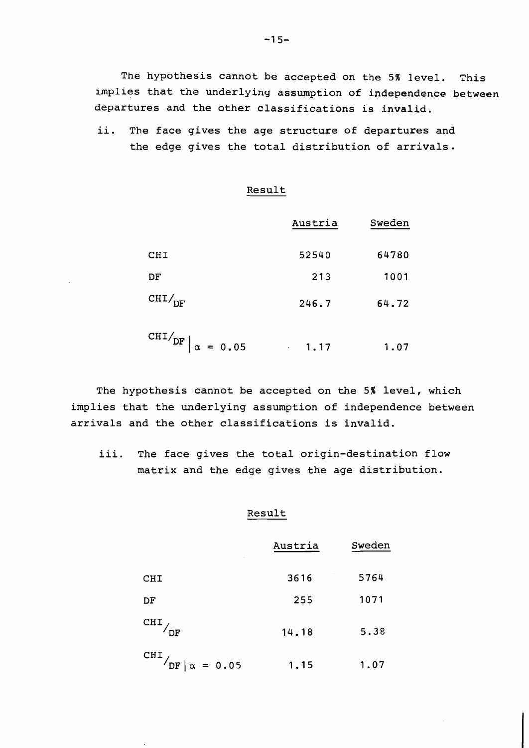The hypothesis cannot be accepted on the 5% level. This implies that the underlying assumption of independence between departures and the other classifications is invalid.

ii. The face gives the age structure of departures and the edge gives the total distribution of arrivals.

|                                | Result                                              |        |  |  |
|--------------------------------|-----------------------------------------------------|--------|--|--|
|                                | Austria                                             | Sweden |  |  |
| CHI                            | 52540                                               | 64780  |  |  |
| DF                             | 213                                                 | 1001   |  |  |
| $\texttt{CHI}/\texttt{DF}$     | 246.7                                               | 64.72  |  |  |
| $CHI/_{DF}$<br>$\alpha = 0.05$ | 1.17<br>$\mathbf{a} = \mathbf{a} \times \mathbf{b}$ | 1.07   |  |  |

The hypothesis cannot be accepted on the 5% level, which implies that the underlying assumption of independence between arrivals and the other classifications is invalid.

iii. The face gives the total origin-destination flow matrix and the edge gives the age distribution.

#### Result

|                                                 | Austria | Sweden |
|-------------------------------------------------|---------|--------|
| CHI                                             | 3616    | 5764   |
| DF                                              | 255     | 1071   |
| $\texttt{\tiny CHI}\xspace_{\texttt{\tiny DF}}$ | 14.18   | 5.38   |
| $\text{CHI}_{\text{DF}   \alpha} = 0.05$        | 1.15    | 1.07   |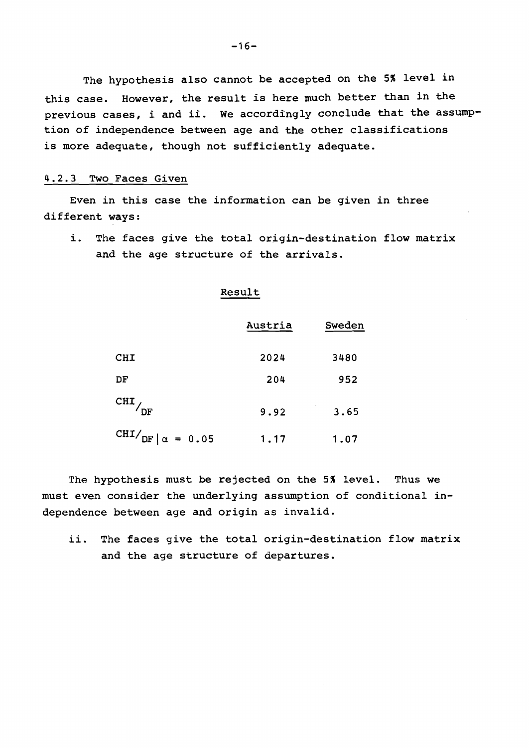The hypothesis also cannot be accepted on the 5% level in this case. However, the result is here much better than in the previous cases, i and ii. We accordingly conclude that the assumption of independence between age and the other classifications is more adequate, though not sufficiently adequate.

#### **4.2.3** Two Faces Given

Even in this case the information can be given in three different ways:

i. The faces give the total origin-destination flow matrix and the age structure of the arrivals,

#### Result

|                                | Austria | Sweden |
|--------------------------------|---------|--------|
| CHI                            | 2024    | 3480   |
| DF                             | 204     | 952    |
| $\mathrm{CHI}_{\rm{}/\rm{DF}}$ | 9.92    | 3.65   |
| CHI/ $DF  \alpha = 0.05$       | 1.17    | 1.07   |

The hypothesis must be rejected on the **5%** level. Thus we must even consider the underlying assumption of conditional independence between age and origin as invalid.

ii. The faces give the total origin-destination flow matrix and the age structure of departures.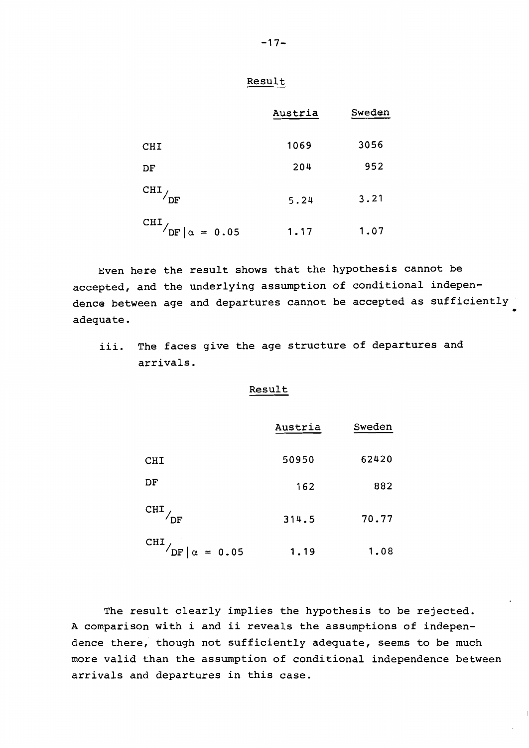|                                               | Austria | Sweden |
|-----------------------------------------------|---------|--------|
| CHI                                           | 1069    | 3056   |
| DF                                            | 204     | 952    |
| $^{\mathrm{CHI}}/_{\mathrm{DF}}$              | 5.24    | 3.21   |
| $\text{CHI}_{\text{DF}}\vert_{\alpha} = 0.05$ | 1.17    | 1.07   |

Even here the result shows that the hypothesis cannot be accepted, and the underlying assumption of conditional independence between age and departures cannot be accepted as sufficiently **<sup>I</sup>** adequate.

iii. The faces give the age structure of departures and arrivals.

#### Result

|                                          | Austria | Sweden |
|------------------------------------------|---------|--------|
| <b>Contract</b><br>CHI                   | 50950   | 62420  |
| DF                                       | 162     | 882    |
| $^{\rm CHI} \rm /_{\rm DF}$              | 314.5   | 70.77  |
| <b>CHI</b><br>$\sqrt{DF  \alpha} = 0.05$ | 1,19    | 1.08   |

The result clearly implies the hypothesis to be rejected. A comparison with i and ii reveals the assumptions of independence there, though not sufficiently adequate, seems to be much more valid than the assumption of conditional independence between arrivals and departures in this case.

Result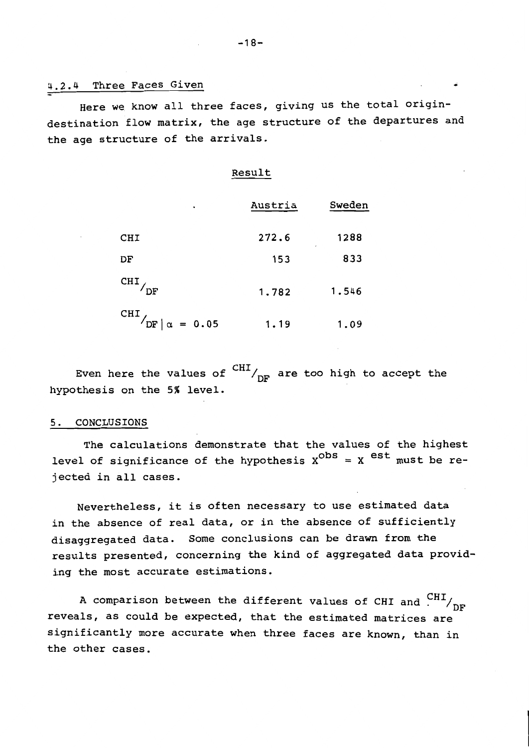#### Three Faces Given 4.2.4

Here we know all three faces, giving us the total origindestination flow matrix, the age structure of the departures and the age structure of the arrivals.

#### Result

| ٠                                        | Austria | Sweden                           |
|------------------------------------------|---------|----------------------------------|
| CHI                                      | 272.6   | 1288<br>$\overline{\phantom{a}}$ |
| DF                                       | 153     | 833                              |
| $^{\mathrm{CHI}}_{\rm{DF}}$              | 1.782   | 1.546                            |
| $\text{CHI}_{\text{DF}   \alpha} = 0.05$ | 1.19    | 1.09                             |

Even here the values of  $\frac{CHI}{DF}$  are too high to accept the hypothesis on the **5%** level.

#### **5.** CONCLUSIONS

The calculations demonstrate that the values of the highest level of significance of the hypothesis  $X^{Obs} = X^{est}$  must be rejected in all cases.

Nevertheless, it is often necessary to use estimated data in the absence of real data, or in the absence of sufficiently disaggregated data. Some conclusions can be drawn from the resalts presented, concerning the kind of aggregated data providing the most accurate estimations.

A comparison between the different values of CHI and  $\mathrm{CHI}_{\big/ \mathrm{DF}}$ reveals, as could be expected, that the estimated matrices are significantly more accurate when three faces are known, than in the other cases.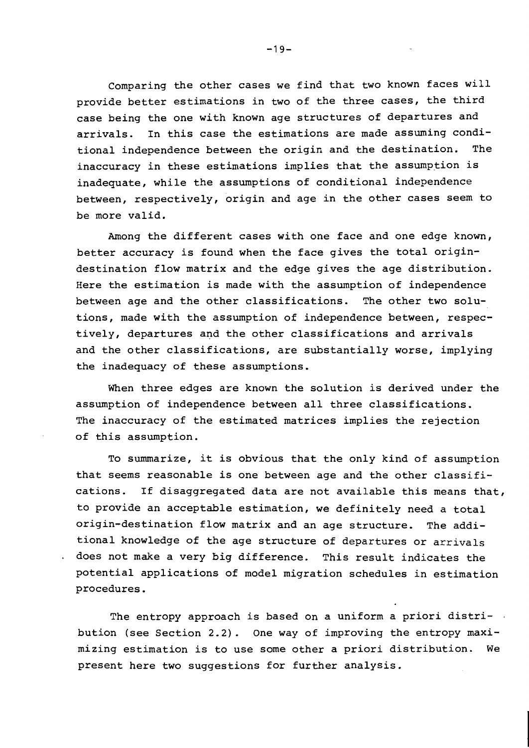Comparing the other cases we find that two known faces will provide better estimations in two of the three cases, the third case being the one with known age structures of departures and arrivals. In this case the estimations are made assuming conditional independence between the origin and the destination. The inaccuracy in these estimations implies that the assumption is inadequate, while the assumptions of conditional independence between, respectively, origin and age in the other cases seem to be more valid.

Among the different cases with one face and one edge known, better accuracy is found when the face gives the total origindestination flow matrix and the edge gives the age distribution. Here the estimation is made with the assumption of independence between age and the other classifications. The other two solutions, made with the assumption of independence between, respectively, departures and the other classifications and arrivals and the other classifications, are substantially worse, implying the inadequacy of these assumptions.

When three edges are known the solution is derived under the assumption of independence between all three classifications. The inaccuracy of the estimated matrices implies the rejection of this assumption.

TO summarize, it is obvious that the only kind of assumption that seems reasonable is one between age and the other classifications. If disaggregated data are not available this means that, to provide an acceptable estimation, we definitely need a total origin-destination flow matrix and an age structure. The additional knowledge of the age structure of departures or arrivals does not make a very big difference. This result indicates the potential applications of model migration schedules in estimation procedures.

The entropy approach is based on a uniform a priori distribution (see Section 2.2). One way of improving the entropy maximizing estimation is to use some other a priori distribution. We present here two suggestions for further analysis.

 $-19-$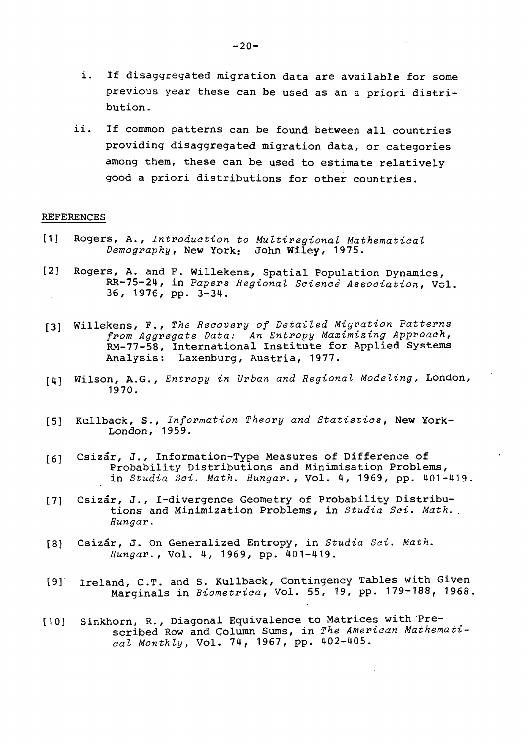- i. If disaggregated migration data are available for some previous year these can be used as an a priori distribution.
- ii. If common patterns can be found between all countries providing disaggregated migration data, or categories among them, these can be used to estimate relatively good a priori distributions for other countries.

#### REFERENCES

- **[I]** Rogers, A., Introduction to Multiregional Mathematical Demography, New York: John Wiley, 1975.
- [2] Rogers, A. and F. Willekens, Spatial Population Dynamics, RR-75-24, in Papers Regional Science Association, Vcl. 36, 1976, pp. 3-34.
- [3] Willekens, F., The Recovery of Detailed Migration Patterns from Aggregate Data: An Entropy Maximizing Approach, RM-77-58, International Institute for Applied Systems Analysis: Laxenburg, Austria, 1977.
- [4] Wilson, A.G., Entropy in Urban and Regional Modeling, London, 1970.
- [5] Kullback, S., Information Theory and Statistics, New York-London, 1959.
- [GI Csizdr, J., Information-Type Measures of Difference of Probability Distributions and Minimisation Problems, in Studia Sci. Math. Hungar., Vol. 4, 1969, pp. 401-419.
- [7] Csizár, J., I-divergence Geometry of Probability Distributions and Minimization Problems, in Studia Sci. Math.. Hungar.
- [a] CsizBr, J. On Generalized Entropy, in Studia **Sci.** Math. Hungar., Vol. 4, 1969, pp. 401-419.
- [Sl' Ireland, C.T. and **S.** Kullback, Contingency Tables with Given Marginals in Biometrica, Vol. 55, 19, pp. 179-188, 1968.
- [10] Sinkhorn, R., Diagonal Equivalence to Matrices with Prescribed Row and Column Sums, in The American Mathematical Monthly, Vol. 74, 1967, pp. 402-405.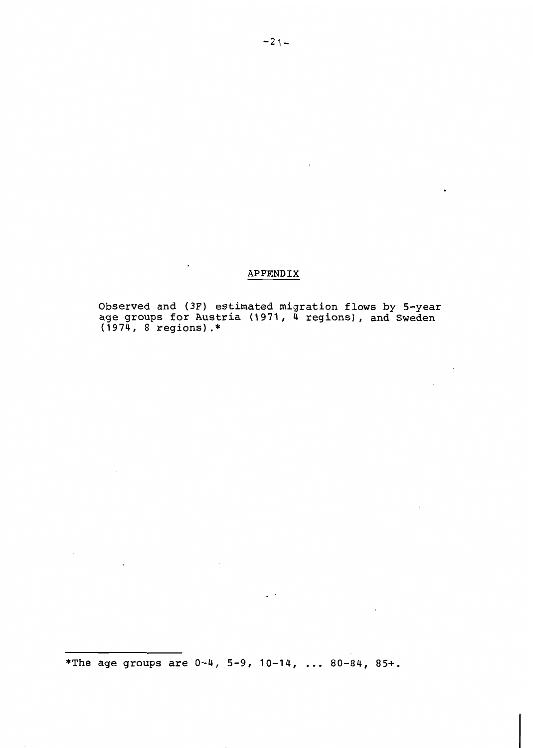#### **APPENDIX**

 $\blacksquare$ 

bserved and (3F) estimated migration flows by 5-year<br>ge groups for Austria (1971, 4 regions), and Sweden ge groups for Austr<br>1974, 8 regions).\*

\*The age groups are 0-4, 5-9, 10-14, ... 80-84, **85+.** 

 $\omega \rightarrow \pi$ 

 $\mathbf{r}$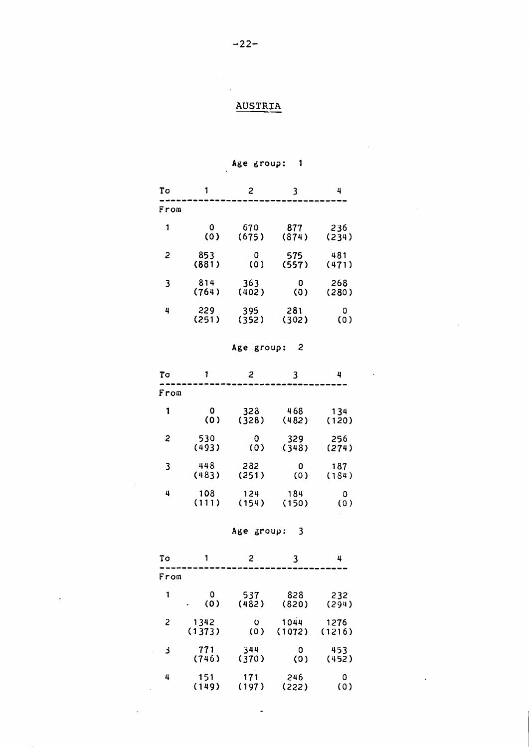## **AUSTRIA**

| Τo   | 1     | 2     | 3     | 4     |
|------|-------|-------|-------|-------|
| From |       |       |       |       |
| 1    | 0     | 670   | 877   | 236   |
|      | (0)   | (675) | (874) | (234) |
| 2    | 853   | 0     | 575   | 481   |
|      | (881) | (0)   | (557) | (471) |
| 3    | 814   | 363   | 0     | 268   |
|      | (764) | (402) | (0)   | (280) |
| 4    | 229   | 395   | 281   | ٥     |
|      | (251) | (352) | (302) | (0)   |

# Age group: 1

## **Age group:** 2

i.

| To   | 1     | 2     | 3     | 4     |
|------|-------|-------|-------|-------|
| From |       |       |       |       |
| 1    | 0     | 328   | 468   | 134   |
|      | (0)   | (328) | (482) | (120) |
| 2    | 530   | 0     | 329   | 256   |
|      | (493) | (0)   | (348) | (274) |
| 3    | 448   | 282   | 0     | 187   |
|      | (483) | (251) | (0)   | (184) |
| 4    | 108   | 124   | 184   | 0     |
|      | (111) | (154) | (150) | (0)   |

### Age group: 3

| Τo   | 1      | 2     | 3      | 4      |
|------|--------|-------|--------|--------|
| From |        |       |        |        |
| 1    | 0      | 537   | 828    | 232    |
|      | (0)    | (482) | (820)  | (294)  |
| 2    | 1342   | O     | 1044   | 1276   |
|      | (1373) | (0)   | (1072) | (1216) |
| 3    | 771    | 344   | 0      | 453    |
|      | (746)  | (370) | (0)    | (452)  |
| 4    | 151    | 171   | 246    | 0      |
|      | (149)  | (197) | (222)  | (0)    |

 $\blacksquare$ 

 $\ddot{\phantom{a}}$ 

 $\ddot{\phantom{1}}$ 

 $\ddot{\phantom{a}}$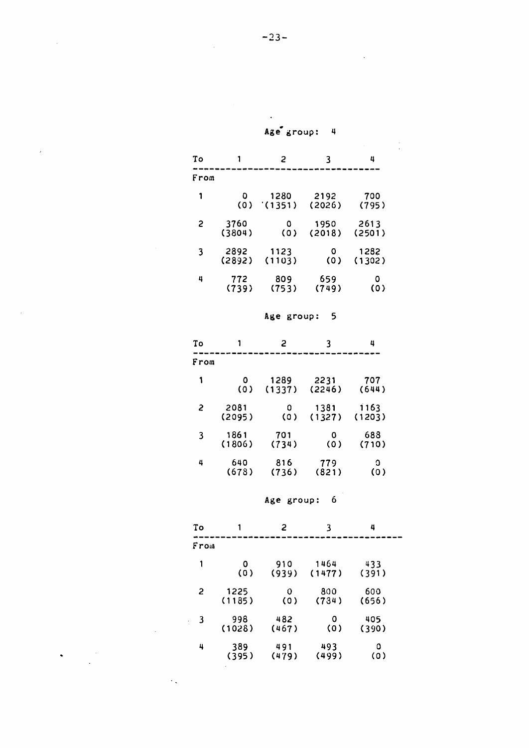$\mathcal{L}^{\text{max}}_{\text{max}}$  ,  $\mathcal{L}^{\text{max}}_{\text{max}}$ 

| upe Pinahi |                |                            |                |                           |  |  |
|------------|----------------|----------------------------|----------------|---------------------------|--|--|
| To         | 1              | 2                          | 3              | 4                         |  |  |
| From       |                |                            |                |                           |  |  |
| 1          | 0<br>(0)       | 1280<br>(1351)             | 2192<br>(2026) | 700<br>(795)              |  |  |
| 2          | 3760<br>(3804) | 0<br>(0)                   | 1950<br>(2018) | 2613<br>(2501)            |  |  |
| 3          | 2892<br>(2892) | 1123<br>(1103)             | 0<br>(0)       | 1282<br>(1302)            |  |  |
| 4          | 772<br>(739)   | 809<br>(753)               | 659<br>(749)   | 0<br>(0)                  |  |  |
|            |                | Age group:                 | 5              |                           |  |  |
| To         | 1              | 2                          | 3              | 4                         |  |  |
| From       |                |                            |                |                           |  |  |
| 1          | 0<br>(0)       | 1289<br>(1337)             | 2231<br>(2246) | 707<br>(644)              |  |  |
| 2          | 2081<br>(2095) | 0<br>(0)                   | 1381           | 1163<br>$(1327)$ $(1203)$ |  |  |
| 3          | 1861<br>1.0001 | 701<br>$1.7.9$ M $\lambda$ | ٥<br>$\sim$    | 683<br>$1 - 1 - 1$        |  |  |

| (1806) | (734) | (O)   | (710) |
|--------|-------|-------|-------|
| 640    | 816   | 779   | Ω     |
| (678)  | (736) | (821) | (0)   |

## **Age group: 6**

| Τo | 1              | 2            | 3              | 4            |  |
|----|----------------|--------------|----------------|--------------|--|
|    | From           |              |                |              |  |
|    | 1<br>0<br>(0)  | 910<br>(939) | 1464<br>(1477) | 433<br>(391) |  |
| 2  | 1225<br>(1185) | 0<br>(0)     | 800<br>(734)   | 600<br>(656) |  |
| -3 | 998<br>(1028)  | 482<br>(467) | 0<br>(0)       | 405<br>(390) |  |
| 4  | 389<br>(395)   | 491<br>(479) | 493<br>(499)   | 0<br>(0)     |  |

 $\mathcal{L}^{\text{max}}$ 

 $\mathcal{L}^{\text{max}}_{\text{max}}$  ,  $\mathcal{L}^{\text{max}}_{\text{max}}$ 

 $\bar{\lambda}$ 

 $\sim 10^{11}$  .

 $\frac{1}{2} \sum_{i=1}^{n} \frac{1}{2} \sum_{j=1}^{n} \frac{1}{2} \sum_{j=1}^{n} \frac{1}{2} \sum_{j=1}^{n} \frac{1}{2} \sum_{j=1}^{n} \frac{1}{2} \sum_{j=1}^{n} \frac{1}{2} \sum_{j=1}^{n} \frac{1}{2} \sum_{j=1}^{n} \frac{1}{2} \sum_{j=1}^{n} \frac{1}{2} \sum_{j=1}^{n} \frac{1}{2} \sum_{j=1}^{n} \frac{1}{2} \sum_{j=1}^{n} \frac{1}{2} \sum_{j=1}^{n$ 

4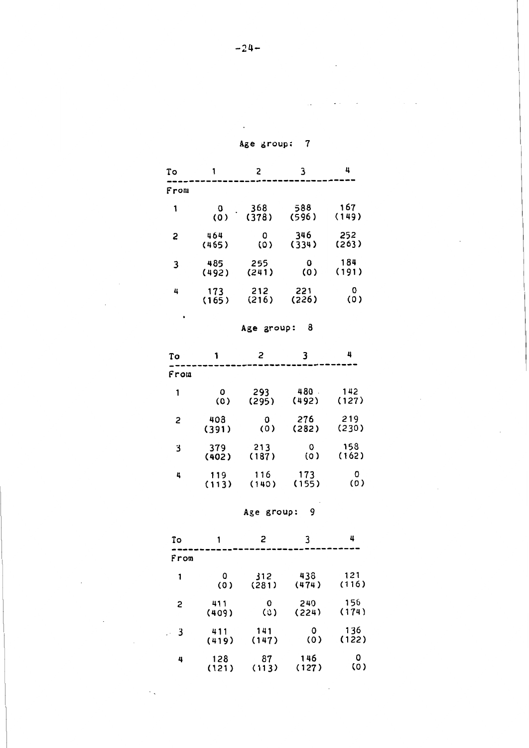|  | Age group: |  |
|--|------------|--|
|--|------------|--|

 $\ddot{\phantom{a}}$  .

| Τo   | 1            | 2            | 3            | 4            |
|------|--------------|--------------|--------------|--------------|
| From |              |              |              |              |
| 1    | (0)          | 368<br>(378) | 588<br>(596) | 167<br>(149) |
| 2    | 464<br>(465) | 0<br>(0)     | 346<br>(334) | 252<br>(263) |
| 3    | 485<br>(492) | 255<br>(241) | 0<br>(0)     | 184<br>(191) |
| 4    | 173<br>(165) | 212<br>(216) | 221<br>(226) | 0<br>(0)     |
|      |              |              |              |              |

#### **Age group: 8**

| Τo   |       | 2     | 3     | 4     |
|------|-------|-------|-------|-------|
| Frou |       |       |       |       |
| 1    | ٥     | 293   | 480   | 142   |
|      | (0)   | (295) | (492) | (127) |
| 2    | 408   | 0     | 276   | 219   |
|      | (391) | (0)   | (282) | (230) |
| 3    | 379   | 213   | ٥     | 158   |
|      | (402) | (187) | (0)   | (162) |
| 4    | 119   | 116   | 173   | 0     |
|      | (113) | (140) | (155) | (0)   |

## **Age group: 9**

| To   | 1     | 2     | 3     | 4     |
|------|-------|-------|-------|-------|
| From |       |       |       |       |
| 1    | 0     | 312   | 438   | 121   |
|      | (0)   | (281) | (474) | (116) |
| 2    | 411   | 0     | 240   | 156   |
|      | (409) | (0)   | (224) | (174) |
| -3   | 411   | 141   | 0     | 136   |
| , .  | (419) | (147) | (0)   | (122) |
| 4    | 128   | 87    | 146   | 0     |
|      | (121) | (113) | (127) | (0)   |

 $\ddot{\phantom{0}}$ 

 $\overline{\phantom{a}}$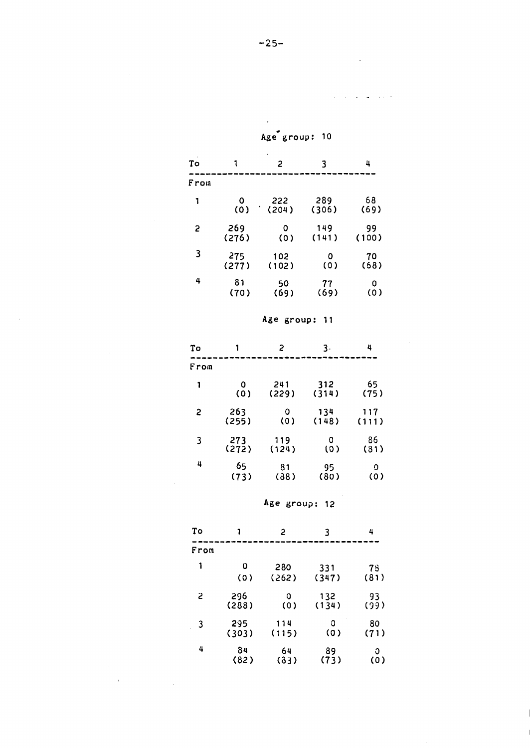$\mathcal{L}^{\text{max}}_{\text{max}}$  . The  $\mathcal{L}^{\text{max}}_{\text{max}}$ 

الجامعة كالمنابذ والمتاري

| To   |       | 2     | 3     | 4     |
|------|-------|-------|-------|-------|
| From |       |       |       |       |
| 1    | 0     | 222   | 289   | 68    |
|      | (0)   | (204) | (306) | (69)  |
| 2    | 269   | 0     | 149   | 99    |
|      | (276) | (0)   | (141) | (100) |
| 3    | 275   | 102   | 0     | 70    |
|      | (277) | (102) | (0)   | (68)  |
| 4    | 81    | 50    | 77    | 0     |
|      | (70)  | (69)  | (69)  | (0)   |

## **Age group: 11**

| To   |              | 2            | $\overline{3}$ | 4            |
|------|--------------|--------------|----------------|--------------|
| From |              |              |                |              |
| 1    | 0<br>(0)     | 241<br>(229) | 312<br>(314)   | 65<br>(75)   |
| 2    | 263<br>(255) | 0<br>(0)     | 134<br>(148)   | 117<br>(111) |
| 3    | 273<br>(272) | 119<br>(124) | 0<br>(0)       | 86<br>(81)   |
| 4    | 65<br>(73)   | 81<br>(38)   | 95<br>(80)     | 0<br>(0)     |

# **Age group: 12**

| Τo   |       | 2     | 3     | 4    |
|------|-------|-------|-------|------|
| From |       |       |       |      |
| 1    | 0     | 280   | 331   | 78   |
|      | (0)   | (262) | (347) | (81) |
| 2    | 296   | 0     | 132   | 93   |
|      | (288) | (0)   | (134) | (99) |
| 3    | 295   | 114   | O     | 80   |
|      | (303) | (115) | (0)   | (71) |
| 4    | 84    | 64    | 89    | O    |
|      | (82)  | (83)  | (73)  | (0)  |

 $\label{eq:2.1} \mathcal{L}^{\text{max}}_{\text{max}}(\mathcal{L}^{\text{max}}_{\text{max}}, \mathcal{L}^{\text{max}}_{\text{max}})$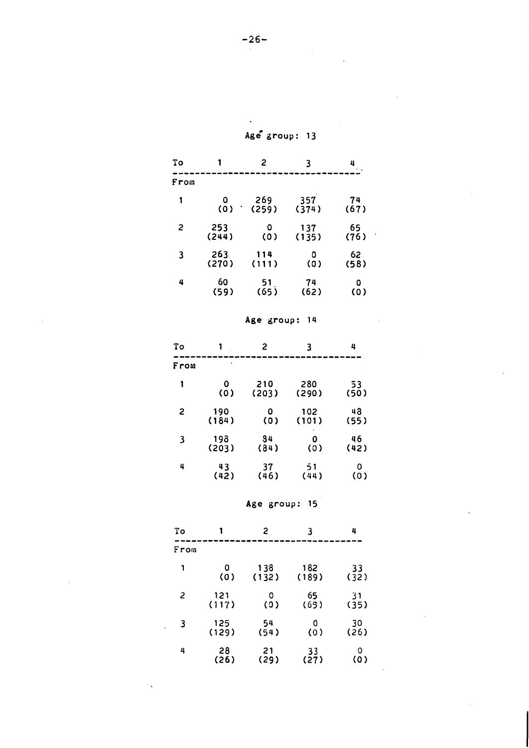$\ddot{\phantom{0}}$ 

 $\mathcal{L}^{\text{max}}_{\text{max}}$  , where  $\mathcal{L}^{\text{max}}_{\text{max}}$ 

 $\ddot{\phantom{a}}$ 

 $\hat{\boldsymbol{\epsilon}}$ 

 $\sim 10^7$ 

| To   |       | 2     | 3     | 4    |
|------|-------|-------|-------|------|
| From |       |       |       |      |
| 1    | 0     | 269   | 357   | 74   |
|      | (0)   | (259) | (374) | (67) |
| 2    | 253   | 0     | 137   | 65   |
|      | (244) | (0)   | (135) | (76) |
| 3    | 263   | 114   | ٥     | 62   |
|      | (270) | (111) | (0)   | (58) |
| 4    | 60    | 51    | 74    | 0    |
|      | (59)  | (65)  | (62)  | (0)  |

## Age group: 14

 $\sim$ 

| To   | 1     | 2     | 3     | 4    |
|------|-------|-------|-------|------|
| From | ٠     |       |       |      |
| 1    | ٥     | 210   | 280   | 53   |
|      | (0)   | (203) | (290) | (50) |
| 2    | 190   | ٥     | 102   | 48   |
|      | (184) | (0)   | (101) | (55) |
| 3    | 198   | 34    | 0     | 46   |
|      | (203) | (34)  | (0)   | (42) |
| 4    | 43    | 37    | 51    | ٥    |
|      | (42)  | (46)  | (44)  | (0)  |

## Age group: 15

| To   | 1     | 2     | 3     | 4    |
|------|-------|-------|-------|------|
| From |       |       |       |      |
| 1    | 0     | 138   | 182   | 33   |
|      | (0)   | (132) | (189) | (32) |
| 2    | 121   | 0     | 65    | 31   |
|      | (117) | (0)   | (65)  | (35) |
| 3    | 125   | 54    | ٥     | 30   |
|      | (129) | (54)  | (0)   | (26) |
| 4    | 28    | 21    | 33    | ٥    |
|      | (26)  | (29)  | (27)  | (0)  |

 $\mathcal{O}(\mathbf{x})$ 

 $-26-$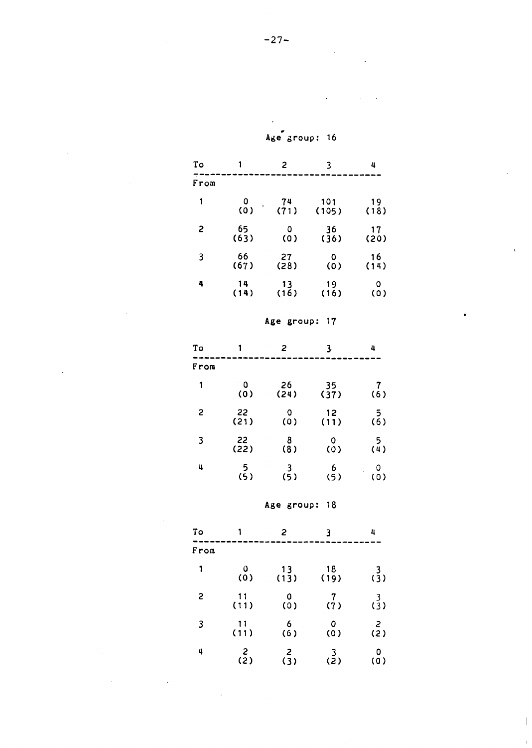$\bar{\zeta}$ 

 $\begin{array}{c} \hline \end{array}$ 

 $\bar{1}$ 

 $\bullet$ 

 $\mathcal{L}^{\mathcal{L}}(\mathcal{L}^{\mathcal{L}})$  and  $\mathcal{L}^{\mathcal{L}}(\mathcal{L}^{\mathcal{L}})$  and  $\mathcal{L}^{\mathcal{L}}(\mathcal{L}^{\mathcal{L}})$  and  $\mathcal{L}^{\mathcal{L}}(\mathcal{L}^{\mathcal{L}})$ 

| To   |      | 2    | 3     | 4    |
|------|------|------|-------|------|
| From |      |      |       |      |
| 1    | 0    | 74   | 101   | 19   |
|      | (0)  | (71) | (105) | (18) |
| 2    | 65   | 0    | 36    | 17   |
|      | (63) | (0)  | (36)  | (20) |
| 3    | 66   | 27   | ٥     | 16   |
|      | (67) | (28) | (0)   | (14) |
| 4    | 14   | 13   | 19    | 0    |
|      | (14) | (16) | (16)  | (0)  |

## **Age group: 17**

| To   |            | 2        | 3          | 4               |
|------|------------|----------|------------|-----------------|
| From |            |          |            |                 |
| 1    | ٥          | 26       | 35         | 7               |
|      | (0)        | (24)     | (37)       | (6)             |
| 2    | 22<br>(21) | 0<br>(0) | 12<br>(11) | $\frac{5}{(6)}$ |
| 3    | 22         | 8        | 0          | 5               |
|      | (22)       | (8)      | (0)        | (4)             |
| 4    | 5          | 3        | 6          | 0               |
|      | (5)        | (5)      | (5)        | (0)             |

## **Age group: 18**

| To   |                                             | 2                     | 3               | 4                   |
|------|---------------------------------------------|-----------------------|-----------------|---------------------|
| From |                                             |                       |                 |                     |
| 1    | 0<br>(0)                                    | 13<br>(13)            | 18<br>(19)      | $\frac{3}{(3)}$     |
| 2    | 11<br>(11)                                  | 0<br>(0)              | $\frac{7}{(7)}$ | $\frac{3}{(3)}$     |
| 3    | 11<br>(11)                                  | 6<br>(6)              | 0<br>(0)        | $\mathsf{S}$<br>(2) |
| 4    | $\overline{\mathbf{c}}$<br>$\overline{(2)}$ | $\overline{c}$<br>(3) | 3<br>(2)        | 0<br>(0)            |

 $\ddot{\phantom{a}}$ 

 $\mathcal{L}^{\text{max}}_{\text{max}}$ 

 $\label{eq:2.1} \frac{1}{\sqrt{2\pi}}\int_{0}^{\infty}\frac{1}{\sqrt{2\pi}}\left(\frac{1}{\sqrt{2\pi}}\right)^{2\alpha} \frac{1}{\sqrt{2\pi}}\int_{0}^{\infty}\frac{1}{\sqrt{2\pi}}\left(\frac{1}{\sqrt{2\pi}}\right)^{2\alpha} \frac{1}{\sqrt{2\pi}}\frac{1}{\sqrt{2\pi}}\int_{0}^{\infty}\frac{1}{\sqrt{2\pi}}\frac{1}{\sqrt{2\pi}}\frac{1}{\sqrt{2\pi}}\frac{1}{\sqrt{2\pi}}\frac{1}{\sqrt{2\pi}}\frac{1}{\sqrt{$ 

 $\sim 3\, \mu$  and  $\sim 1$ 

 $\sim$   $\epsilon$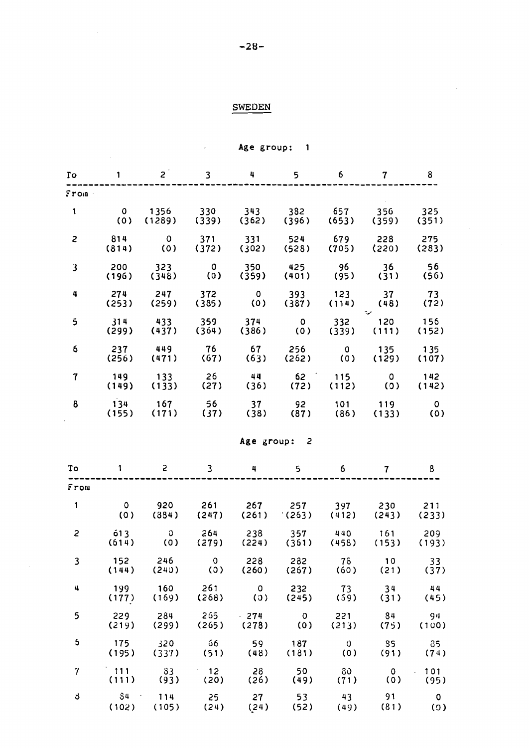## **SWEDEN**

 $\mathcal{L}^{\text{max}}$ 

 $\sim$ 

Age group: 1

| Τo                      | 1                       | $\mathbf{2}$                  | 3            | 4                  | 5              | 6            | 7                                | 8                                   |
|-------------------------|-------------------------|-------------------------------|--------------|--------------------|----------------|--------------|----------------------------------|-------------------------------------|
| From                    |                         |                               |              |                    |                |              |                                  |                                     |
| $\mathbf{1}$            | $\mathbf 0$             | 1356                          | 330          | 343                | 382            | 657          | 356                              | 325                                 |
|                         | (0)                     | (1289)                        | (339)        | (362)              | (396)          | (653)        | (359)                            | (351)                               |
| $\overline{c}$          | 814                     | 0                             | 371          | 331                | 524            | 679          | 228                              | 275                                 |
|                         | (814)                   | (0)                           | (372)        | (302)              | (528)          | (705)        | (220)                            | (283)                               |
| $\overline{\mathbf{3}}$ | 200                     | 323                           | $\mathbf 0$  | 350                | 425            | 96           | 36                               | 56                                  |
|                         | (196)                   | (348)                         | (0)          | (359)              | (401)          | (95)         | (31)                             | (56)                                |
| 4                       | 274<br>(253)            | 247<br>(259)                  | 372<br>(385) | $\mathbf 0$<br>(0) | 393<br>(387)   | 123<br>(114) | 37<br>(48)<br>$\mathbf{\hat{v}}$ | 73<br>(72)                          |
| 5                       | 314                     | 433                           | 359          | 374                | $\mathbf 0$    | 332          | 120                              | 155                                 |
|                         | (299)                   | (437)                         | (364)        | (386)              | (0)            | (339)        | (111)                            | (152)                               |
| 6                       | 237                     | 449                           | 76           | 67                 | 256            | $\mathbf{O}$ | 135                              | 135                                 |
|                         | (256)                   | (471)                         | (67)         | (63)               | (262)          | (0)          | (129)                            | (107)                               |
| $\boldsymbol{7}$        | 149                     | 133                           | 26           | 44                 | 62             | 115          | $\mathbf 0$                      | 142                                 |
|                         | (149)                   | (133)                         | (27)         | (36)               | (72)           | (112)        | (0)                              | (142)                               |
| 8                       | 134                     | 167                           | 56           | 37                 | 92             | 101          | 119                              | 0                                   |
|                         | (155)                   | (171)                         | (37)         | (38)               | (87)           | (86)         | (133)                            | (0)                                 |
|                         |                         |                               |              | Age group:         | $\overline{c}$ |              |                                  |                                     |
| To                      | 1                       | 2                             | 3            | 4                  | 5              | 5            | $\boldsymbol{7}$                 | 8                                   |
| From                    |                         |                               |              |                    |                |              |                                  |                                     |
| $\mathbf{1}$            | $\mathbf 0$             | 920                           | 261          | 267                | 257            | 397          | 230                              | 211                                 |
|                         | (0)                     | (384)                         | (247)        | (261)              | (263)          | (412)        | (243)                            | (233)                               |
| $\overline{c}$          | 613                     | $\mathbf{0}$                  | 264          | 238                | 357            | 440          | 161                              | 209                                 |
|                         | (614)                   | (0)                           | (279)        | (224)              | (361)          | (458)        | (153)                            | (193)                               |
| 3                       | 152                     | 246                           | 0            | 228                | 282            | 78           | 10                               | 33                                  |
|                         | (144)                   | (240)                         | (0)          | (260)              | (267)          | (60)         | (21)                             | (37)                                |
| 4                       | 199                     | 160                           | 261          | $\mathbf 0$        | 232            | 73           | 34                               | 44                                  |
|                         | (177)                   | (169)                         | (268)        | (0)                | (245)          | (59)         | (31)                             | (45)                                |
| 5                       | 229                     | 284                           | 265          | $-274$             | $\mathbf 0$    | 221          | 84                               | 94                                  |
|                         | (219)                   | (299)                         | (265)        | (278)              | (0)            | (213)        | (75)                             | (100)                               |
| $\mathfrak s$           | 175                     | 320                           | 66           | 59                 | 187            | 0            | 85                               | 35                                  |
|                         | (195)                   | (337)                         | (51)         | (48)               | (181)          | (0)          | (91)                             | (74)                                |
| $\boldsymbol{7}$        | $111$<br>(111)          | 83<br>(93)                    | 12<br>(20)   | 28<br>(26)         | 50<br>(49)     | 80<br>(71)   | $\mathbf{O}$<br>(0)              | 101<br>$\ddot{\phantom{0}}$<br>(95) |
| ჭ                       | S <sub>4</sub><br>(102) | $\mathcal{A}$<br>114<br>(105) | 25<br>(24)   | 27<br>(24)         | 53<br>(52)     | 43<br>(49)   | 91<br>(81)                       | $\mathbf 0$<br>(0)                  |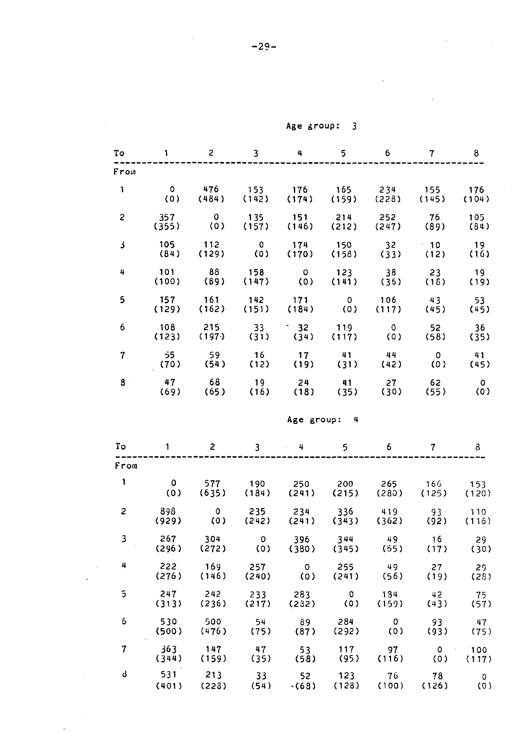**Age** group: **3** 

J.

 $\sim$ 

 $\mathcal{L}_{\rm{max}}$ 

 $\mathcal{L}^{\text{max}}_{\text{max}}$  , where  $\mathcal{L}^{\text{max}}_{\text{max}}$ 

| To                      | 1            | $\overline{c}$          | 3                       | 4            | 5           | 6               | 7                        | 8               |
|-------------------------|--------------|-------------------------|-------------------------|--------------|-------------|-----------------|--------------------------|-----------------|
| From                    |              |                         |                         |              |             |                 |                          |                 |
| $\mathbf 1$             | $\circ$      | 476                     | 153                     | 176          | 165         | 234             | 155                      | 176             |
|                         | (0)          | (484)                   | (142)                   | (174)        | (159)       | (228)           | (145)                    | (104)           |
| $\mathbf{2}$            | 357          | 0                       | 135                     | 151          | 214         | 252             | 76                       | 105             |
|                         | (355)        | (0)                     | (157)                   | (146)        | (212)       | (247)           | (89)                     | (84)            |
| $\mathbf{3}$            | 105          | 112                     | $\overline{\mathbf{0}}$ | 174          | 150         | 32 <sub>2</sub> | $\cdot$ 10               | 19              |
|                         | (84)         | (129)                   | (0)                     | (170)        | (158)       | (33)            | (12)                     | (16)            |
| 4                       | 101          | 88                      | 158                     | $\mathbf{0}$ | 123         | 38              | -23                      | 19              |
|                         | (100)        | (89)                    | (147)                   | (0)          | (141)       | (36)            | (18)                     | (19)            |
| 5                       | 157          | 161                     | 142                     | 171          | 0           | 106             | 43                       | 53              |
|                         | (129)        | (162)                   | (151)                   | (184)        | (0)         | (117)           | (45)                     | (45)            |
| 6                       | 108          | 215                     | 33                      | $-32$        | 119         | $\mathbf{O}$    | 52                       | 36              |
|                         | (123)        | (197)                   | (31)                    | (34)         | (117)       | (0)             | (58)                     | (35)            |
| $\boldsymbol{7}$        | 55           | 59                      | - 16                    | 17           | 41          | 44              | $\mathsf{O}$             | 41              |
|                         | (70)         | (54)                    | (12)                    | (19)         | (31)        | (42)            | (0)                      | (45)            |
| $\mathbf 8$             | 47           | 68                      | 19                      | 24           | 41          | 27              | 62                       | $\circ$         |
|                         | (69)         | (65)                    | (16)                    | (18)         | (35)        | (30)            | (55)                     | (0)             |
|                         |              |                         |                         | Age group: 4 |             |                 |                          |                 |
| Τo                      | 1            | 2                       | $\overline{\mathbf{3}}$ | 4            | 5           | 6               | $\overline{\mathcal{L}}$ | 8               |
| From                    |              |                         |                         |              |             |                 |                          |                 |
| 1                       | $\mathbf 0$  | 577                     | - 190                   | 250          | 200         | 265             | 166                      | 153             |
|                         | (0)          | (635)                   | (184)                   | (241)        | (215)       | (280)           | (125)                    | (120)           |
| $\overline{\mathbf{c}}$ | 898          | $\overline{\mathbf{0}}$ | 235                     | 234          | 336         | 419             | 93                       | 110             |
|                         | (929)        | (0)                     | (242)                   | (241)        | (343)       | (362)           | (92)                     | (116)           |
| 3                       | 267          | 304                     | 0                       | 396          | 344         | 49              | 16                       | 29              |
|                         | (296)        | (272)                   | (0)                     | (380)        | (345)       | (55)            | (17)                     | (30)            |
| 4                       | 222          | 169                     | 257                     | $\mathbf 0$  | 255         | 49              | 27                       | 29              |
|                         | (276)        | (146)                   | (240)                   | (0)          | (241)       | (56)            | (19)                     | (28)            |
| 5                       | 247          | 242                     | 233                     | 283          | 0           | 134             | 42                       | 75              |
|                         | (313)        | (236)                   | (217)                   | (232)        | (0)         | (159)           | (43)                     | (57)            |
| 6                       | 530          | 500                     | 54                      | 89           | 284         | $\mathbf 0$     | 93                       | 47 <sub>1</sub> |
|                         | (500)        | (476)                   | (75)                    | (87)         | (292)       | (0)             | (93)                     | (75)            |
| $\boldsymbol{7}$        | 363<br>(344) | 147<br>(159)            | 47<br>(35)              | 53<br>(58)   | 117<br>(95) | 97<br>(116)     | 0<br>$\cdot$<br>(0)      | 100<br>(117)    |
| 3                       | 531          | 213                     | 33                      | 52           | 123         | 7ΰ              | 78                       | $\overline{0}$  |
|                         | (401)        | (228)                   | (54)                    | $-(68)$      | (128)       | (100)           | (126)                    | (0)             |

 $\sim$ 

 $\sim 10^7$ 

 $\ddot{\phantom{a}}$ 

 $\sim$ 

 $\bar{z}$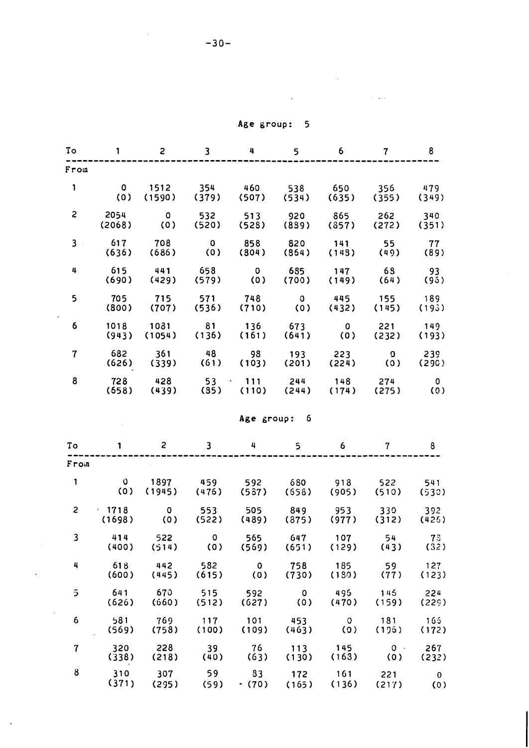$\hat{\mathcal{A}}$ 

 $\sim 10$ 

 $\ddot{\phantom{0}}$ 

 $\langle \cdot \rangle$ 

 $\sim$   $\sim$ 

**Age** group: 5

 $\mathcal{L}_{\text{max}}$ 

 $\label{eq:1} \frac{1}{\sqrt{2\pi}}\int_{0}^{\pi} \frac{1}{\sqrt{2\pi}}\left(\frac{1}{\sqrt{2\pi}}\right)^{2} \frac{1}{\sqrt{2\pi}}\int_{0}^{\pi}\frac{1}{\sqrt{2\pi}}\left(\frac{1}{\sqrt{2\pi}}\right)^{2} \frac{1}{\sqrt{2\pi}}\frac{1}{\sqrt{2\pi}}\frac{1}{\sqrt{2\pi}}\frac{1}{\sqrt{2\pi}}\frac{1}{\sqrt{2\pi}}\frac{1}{\sqrt{2\pi}}\frac{1}{\sqrt{2\pi}}\frac{1}{\sqrt{2\pi}}\frac{1}{\sqrt{2\pi}}$ 

| Τo                      | 1            | 2            | 3          | 4                         | 5            | 6            | 7                | 8            |
|-------------------------|--------------|--------------|------------|---------------------------|--------------|--------------|------------------|--------------|
| From                    |              |              |            |                           |              |              |                  |              |
| 1                       | 0            | 1512         | 354        | 460                       | 538          | 650          | 356              | 479          |
|                         | (0)          | (1590)       | (379)      | (507)                     | (534)        | (635)        | (355)            | (349)        |
| 2                       | 2054         | O            | 532        | 513                       | 920          | 865          | 262              | 340          |
|                         | (2068)       | (0)          | (520)      | (528)                     | (839)        | (357)        | (272)            | (351)        |
| 3                       | 617          | 708          | 0          | 858                       | 820          | 141          | 55               | 77           |
|                         | (636)        | (686)        | (0)        | (804)                     | (854)        | (148)        | (49)             | (89)         |
| 4                       | 615          | 441          | 658        | 0                         | 685          | 147          | 68               | 93           |
|                         | (690)        | (429)        | (579)      | (0)                       | (700)        | (149)        | (64)             | (95)         |
| 5                       | 705          | 715          | 571        | 748                       | O            | 445          | 155              | 189          |
|                         | (800)        | (707)        | (536)      | (710)                     | (0)          | (432)        | (145)            | (193)        |
| 6                       | 1018         | 1081         | 81         | 136                       | 673          | 0            | 221              | 149          |
|                         | (943)        | (1054)       | (136)      | (161)                     | (641)        | (0)          | (232)            | (193)        |
| $\mathbf 7$             | 682          | 361          | 48         | 98                        | 193          | 223          | 0                | 239          |
|                         | (626)        | (339)        | (61)       | (103)                     | (201)        | (224)        | (0)              | (290)        |
| 8                       | 728<br>(658) | 428<br>(439) | 53<br>(35) | 111<br>$\bullet$<br>(110) | 244<br>(244) | 148<br>(174) | 274<br>(275)     | 0<br>(0)     |
|                         |              |              |            | Age group:                | 6            |              |                  |              |
| To                      | 1            | 2            | 3          | 4                         | 5            | 6            | $\boldsymbol{7}$ | 8            |
| From                    |              |              |            |                           |              |              |                  |              |
| 1                       | 0            | 1897         | 459        | 592                       | 680          | 918          | 522              | 541          |
|                         | (0)          | (1945)       | (476)      | (537)                     | (558)        | (905)        | (510)            | (530)        |
| $\overline{c}$          | $-1718$      | $\mathbf 0$  | 553        | 505                       | 849          | 953          | 330              | 392          |
|                         | (1698)       | (0)          | (522)      | (489)                     | (875)        | (977)        | (312)            | (426)        |
| 3                       | 414          | 522          | 0          | 565                       | 647          | 107          | 54               | 73           |
|                         | (400)        | (514)        | (0)        | (569)                     | (651)        | (129)        | (43)             | (32)         |
| 4                       | 618          | 442          | 582        | $\mathbf{o}$              | 758          | 185          | 59               | 127          |
|                         | (600)        | (445)        | (615)      | (0)                       | (730)        | (180)        | (77)             | (123)        |
| $\overline{\mathbf{z}}$ | 641          | 670          | 515        | 592                       | $\mathbf{o}$ | 495          | 145              | 224          |
|                         | (626)        | (660)        | (512)      | (627)                     | (0)          | (470)        | (159)            | (229)        |
| 6                       | 581          | 769          | 117        | 101                       | 453          | 0            | 181              | 165          |
|                         | (569)        | (758)        | (100)      | (109)                     | (463)        | (0)          | (195)            | (172)        |
| 7                       | 320          | 228          | 39         | 76                        | 113          | 145          | $0 -$            | 267          |
|                         | (338)        | (218)        | (40)       | (63)                      | (130)        | (163)        | (0)              | (232)        |
| $\bf8$                  | 310          | 307          | 59         | 83                        | 172          | 161          | 221              | $\mathbf{0}$ |
|                         | (371)        | (295)        | (59)       | (70)                      | (165)        | (136)        | (217)            | (0)          |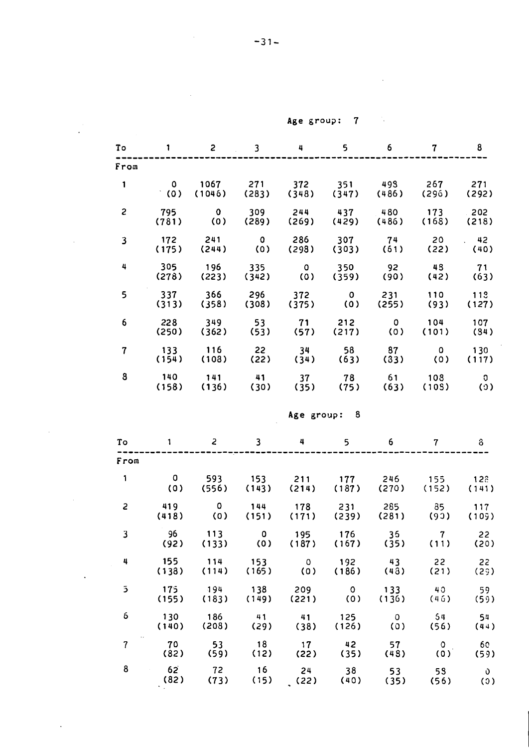$\mathcal{L}^{\text{max}}_{\text{max}}$  and  $\mathcal{L}^{\text{max}}_{\text{max}}$ 

| 8<br>6<br>5<br>Τo<br>1<br>$\mathbf{2}$<br>7 <sup>1</sup><br>3<br>4<br>From<br>1067<br>271<br>$\mathbf{1}$<br>372<br>351<br>498<br>267<br>271<br>$\mathbf 0$<br>(0)<br>(1046)<br>(283)<br>(486)<br>(296)<br>(348)<br>(347)<br>$\mathbf{c}$<br>795<br>$\mathbf{o}$<br>309<br>244<br>480<br>173<br>437<br>(168)<br>(781)<br>(289)<br>(269)<br>(486)<br>(0)<br>(429)<br>$\overline{\mathbf{3}}$<br>286<br>172<br>241<br>307<br>74<br>20<br>$\mathbf 0$<br>(175)<br>(0)<br>(298)<br>(61)<br>(22)<br>(244)<br>(303)<br>4<br>305<br>196<br>335<br>350<br>92<br>48<br>$\mathbf 0$<br>(278)<br>(90)<br>(223)<br>(342)<br>(359)<br>(42)<br>(0)<br>5<br>337<br>366<br>296<br>372<br>$\mathbf 0$<br>231<br>110<br>(308)<br>(255)<br>(313)<br>(358)<br>(375)<br>(0)<br>(93)<br>6<br>228<br>53<br>212<br>$\mathbf 0$<br>104<br>349<br>71<br>(250)<br>(57)<br>(0)<br>(101)<br>(362)<br>(53)<br>(217)<br>22<br>58<br>87<br>$\boldsymbol{7}$<br>133<br>116<br>34<br>0<br>(154)<br>(108)<br>(22)<br>(63)<br>(33)<br>(34)<br>(0)<br>$\bf{8}$<br>140<br>141<br>41<br>37<br>78<br>61<br>108<br>(158)<br>(136)<br>(75)<br>(63)<br>(30)<br>(35)<br>(10S)<br>Age group: 8<br>$\overline{a}$<br>To<br>3<br>4<br>5<br>6<br>1<br>$\mathbf 7$<br>8<br>From<br>1<br>0<br>593<br>153<br>211<br>177<br>246<br>155<br>(187)<br>(0)<br>(556)<br>(143)<br>(214)<br>(270)<br>(152)<br>2<br>419<br>0<br>144<br>178<br>285<br>231<br>85<br>(418)<br>(151)<br>(0)<br>(171)<br>(239)<br>(281)<br>(93)<br>3<br>96<br>113<br>7 <sup>7</sup><br>$\mathbf 0$<br>195<br>176<br>36<br>(92)<br>(11)<br>(133)<br>(0)<br>(187)<br>(167)<br>(35)<br>155<br>4<br>114<br>22<br>153<br>$\mathsf{o}\,$<br>192<br>43<br>(114)<br>(165)<br>(133)<br>(0)<br>(186)<br>(21)<br>(43)<br>$\mathbf 5$<br>175<br>194<br>138<br>209<br>$\mathsf{o}$<br>133<br>40<br>(155)<br>(183)<br>(149)<br>(221)<br>(0)<br>(136)<br>(46)<br>6<br>130<br>186<br>54<br>125<br>41<br>41<br>$\mathsf{o}$<br>(140)<br>(208)<br>(126)<br>(56)<br>(29)<br>(38)<br>(0)<br>18<br>57<br>$\overline{7}$<br>70<br>53<br>42<br>$\circ$<br>17<br>(82)<br>(59)<br>(12)<br>(35)<br>(22)<br>(48)<br>(0)<br>$\bf8$<br>62<br>16<br>72<br>24<br>38<br>53<br>53<br>(82)<br>(73)<br>(15)<br>(22)<br>(40)<br>(56)<br>(35) |  |  | Age group: 7 |  |                       |
|-------------------------------------------------------------------------------------------------------------------------------------------------------------------------------------------------------------------------------------------------------------------------------------------------------------------------------------------------------------------------------------------------------------------------------------------------------------------------------------------------------------------------------------------------------------------------------------------------------------------------------------------------------------------------------------------------------------------------------------------------------------------------------------------------------------------------------------------------------------------------------------------------------------------------------------------------------------------------------------------------------------------------------------------------------------------------------------------------------------------------------------------------------------------------------------------------------------------------------------------------------------------------------------------------------------------------------------------------------------------------------------------------------------------------------------------------------------------------------------------------------------------------------------------------------------------------------------------------------------------------------------------------------------------------------------------------------------------------------------------------------------------------------------------------------------------------------------------------------------------------------------------------------------------------------------------------------------------------------------------------------------------------------------------------------------------------------------------------------------------------------------------------------------------------------------------------------------------------|--|--|--------------|--|-----------------------|
|                                                                                                                                                                                                                                                                                                                                                                                                                                                                                                                                                                                                                                                                                                                                                                                                                                                                                                                                                                                                                                                                                                                                                                                                                                                                                                                                                                                                                                                                                                                                                                                                                                                                                                                                                                                                                                                                                                                                                                                                                                                                                                                                                                                                                         |  |  |              |  |                       |
|                                                                                                                                                                                                                                                                                                                                                                                                                                                                                                                                                                                                                                                                                                                                                                                                                                                                                                                                                                                                                                                                                                                                                                                                                                                                                                                                                                                                                                                                                                                                                                                                                                                                                                                                                                                                                                                                                                                                                                                                                                                                                                                                                                                                                         |  |  |              |  |                       |
|                                                                                                                                                                                                                                                                                                                                                                                                                                                                                                                                                                                                                                                                                                                                                                                                                                                                                                                                                                                                                                                                                                                                                                                                                                                                                                                                                                                                                                                                                                                                                                                                                                                                                                                                                                                                                                                                                                                                                                                                                                                                                                                                                                                                                         |  |  |              |  | (292)                 |
|                                                                                                                                                                                                                                                                                                                                                                                                                                                                                                                                                                                                                                                                                                                                                                                                                                                                                                                                                                                                                                                                                                                                                                                                                                                                                                                                                                                                                                                                                                                                                                                                                                                                                                                                                                                                                                                                                                                                                                                                                                                                                                                                                                                                                         |  |  |              |  | 202<br>(218)          |
|                                                                                                                                                                                                                                                                                                                                                                                                                                                                                                                                                                                                                                                                                                                                                                                                                                                                                                                                                                                                                                                                                                                                                                                                                                                                                                                                                                                                                                                                                                                                                                                                                                                                                                                                                                                                                                                                                                                                                                                                                                                                                                                                                                                                                         |  |  |              |  | 42<br>(40)            |
|                                                                                                                                                                                                                                                                                                                                                                                                                                                                                                                                                                                                                                                                                                                                                                                                                                                                                                                                                                                                                                                                                                                                                                                                                                                                                                                                                                                                                                                                                                                                                                                                                                                                                                                                                                                                                                                                                                                                                                                                                                                                                                                                                                                                                         |  |  |              |  | 71<br>(63)            |
|                                                                                                                                                                                                                                                                                                                                                                                                                                                                                                                                                                                                                                                                                                                                                                                                                                                                                                                                                                                                                                                                                                                                                                                                                                                                                                                                                                                                                                                                                                                                                                                                                                                                                                                                                                                                                                                                                                                                                                                                                                                                                                                                                                                                                         |  |  |              |  | 119<br>(127)          |
|                                                                                                                                                                                                                                                                                                                                                                                                                                                                                                                                                                                                                                                                                                                                                                                                                                                                                                                                                                                                                                                                                                                                                                                                                                                                                                                                                                                                                                                                                                                                                                                                                                                                                                                                                                                                                                                                                                                                                                                                                                                                                                                                                                                                                         |  |  |              |  | 107<br>(34)           |
|                                                                                                                                                                                                                                                                                                                                                                                                                                                                                                                                                                                                                                                                                                                                                                                                                                                                                                                                                                                                                                                                                                                                                                                                                                                                                                                                                                                                                                                                                                                                                                                                                                                                                                                                                                                                                                                                                                                                                                                                                                                                                                                                                                                                                         |  |  |              |  | 130<br>(117)          |
|                                                                                                                                                                                                                                                                                                                                                                                                                                                                                                                                                                                                                                                                                                                                                                                                                                                                                                                                                                                                                                                                                                                                                                                                                                                                                                                                                                                                                                                                                                                                                                                                                                                                                                                                                                                                                                                                                                                                                                                                                                                                                                                                                                                                                         |  |  |              |  | $\mathfrak{g}$<br>(0) |
|                                                                                                                                                                                                                                                                                                                                                                                                                                                                                                                                                                                                                                                                                                                                                                                                                                                                                                                                                                                                                                                                                                                                                                                                                                                                                                                                                                                                                                                                                                                                                                                                                                                                                                                                                                                                                                                                                                                                                                                                                                                                                                                                                                                                                         |  |  |              |  |                       |
|                                                                                                                                                                                                                                                                                                                                                                                                                                                                                                                                                                                                                                                                                                                                                                                                                                                                                                                                                                                                                                                                                                                                                                                                                                                                                                                                                                                                                                                                                                                                                                                                                                                                                                                                                                                                                                                                                                                                                                                                                                                                                                                                                                                                                         |  |  |              |  |                       |
|                                                                                                                                                                                                                                                                                                                                                                                                                                                                                                                                                                                                                                                                                                                                                                                                                                                                                                                                                                                                                                                                                                                                                                                                                                                                                                                                                                                                                                                                                                                                                                                                                                                                                                                                                                                                                                                                                                                                                                                                                                                                                                                                                                                                                         |  |  |              |  |                       |
|                                                                                                                                                                                                                                                                                                                                                                                                                                                                                                                                                                                                                                                                                                                                                                                                                                                                                                                                                                                                                                                                                                                                                                                                                                                                                                                                                                                                                                                                                                                                                                                                                                                                                                                                                                                                                                                                                                                                                                                                                                                                                                                                                                                                                         |  |  |              |  | 128<br>(141)          |
|                                                                                                                                                                                                                                                                                                                                                                                                                                                                                                                                                                                                                                                                                                                                                                                                                                                                                                                                                                                                                                                                                                                                                                                                                                                                                                                                                                                                                                                                                                                                                                                                                                                                                                                                                                                                                                                                                                                                                                                                                                                                                                                                                                                                                         |  |  |              |  | 117<br>(109)          |
|                                                                                                                                                                                                                                                                                                                                                                                                                                                                                                                                                                                                                                                                                                                                                                                                                                                                                                                                                                                                                                                                                                                                                                                                                                                                                                                                                                                                                                                                                                                                                                                                                                                                                                                                                                                                                                                                                                                                                                                                                                                                                                                                                                                                                         |  |  |              |  | 22<br>(20)            |
|                                                                                                                                                                                                                                                                                                                                                                                                                                                                                                                                                                                                                                                                                                                                                                                                                                                                                                                                                                                                                                                                                                                                                                                                                                                                                                                                                                                                                                                                                                                                                                                                                                                                                                                                                                                                                                                                                                                                                                                                                                                                                                                                                                                                                         |  |  |              |  | 22<br>(29)            |
|                                                                                                                                                                                                                                                                                                                                                                                                                                                                                                                                                                                                                                                                                                                                                                                                                                                                                                                                                                                                                                                                                                                                                                                                                                                                                                                                                                                                                                                                                                                                                                                                                                                                                                                                                                                                                                                                                                                                                                                                                                                                                                                                                                                                                         |  |  |              |  | 59<br>(59)            |
|                                                                                                                                                                                                                                                                                                                                                                                                                                                                                                                                                                                                                                                                                                                                                                                                                                                                                                                                                                                                                                                                                                                                                                                                                                                                                                                                                                                                                                                                                                                                                                                                                                                                                                                                                                                                                                                                                                                                                                                                                                                                                                                                                                                                                         |  |  |              |  | 54<br>(44)            |
|                                                                                                                                                                                                                                                                                                                                                                                                                                                                                                                                                                                                                                                                                                                                                                                                                                                                                                                                                                                                                                                                                                                                                                                                                                                                                                                                                                                                                                                                                                                                                                                                                                                                                                                                                                                                                                                                                                                                                                                                                                                                                                                                                                                                                         |  |  |              |  | 60<br>(59)            |
|                                                                                                                                                                                                                                                                                                                                                                                                                                                                                                                                                                                                                                                                                                                                                                                                                                                                                                                                                                                                                                                                                                                                                                                                                                                                                                                                                                                                                                                                                                                                                                                                                                                                                                                                                                                                                                                                                                                                                                                                                                                                                                                                                                                                                         |  |  |              |  | $\mathcal{O}$<br>(0)  |

 $\label{eq:2.1} \frac{1}{\sqrt{2}}\int_{\mathbb{R}^3}\frac{1}{\sqrt{2}}\left(\frac{1}{\sqrt{2}}\right)^2\frac{1}{\sqrt{2}}\left(\frac{1}{\sqrt{2}}\right)^2\frac{1}{\sqrt{2}}\left(\frac{1}{\sqrt{2}}\right)^2\frac{1}{\sqrt{2}}\left(\frac{1}{\sqrt{2}}\right)^2.$ 

 $\label{eq:2.1} \frac{1}{\sqrt{2\pi}}\sum_{i=1}^n\frac{1}{\sqrt{2\pi}}\sum_{i=1}^n\frac{1}{\sqrt{2\pi}}\sum_{i=1}^n\frac{1}{\sqrt{2\pi}}\sum_{i=1}^n\frac{1}{\sqrt{2\pi}}\sum_{i=1}^n\frac{1}{\sqrt{2\pi}}\sum_{i=1}^n\frac{1}{\sqrt{2\pi}}\sum_{i=1}^n\frac{1}{\sqrt{2\pi}}\sum_{i=1}^n\frac{1}{\sqrt{2\pi}}\sum_{i=1}^n\frac{1}{\sqrt{2\pi}}\sum_{i=1}^n\$ 

 $\mathcal{L}^{\text{max}}_{\text{max}}$  ,  $\mathcal{L}^{\text{max}}_{\text{max}}$ 

 $\sim 10^{-10}$  km  $^{-1}$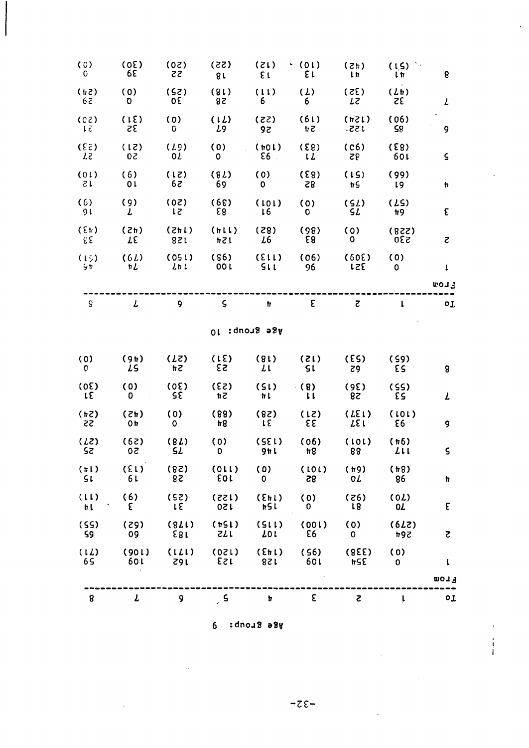| (0)<br>O.          | (30)<br>6٤     | (50)<br>22           | (55)<br>8 <sub>L</sub>  | (21)<br>ει       | $\cdot$ (01)<br>εı | (2h)<br>Lπ.         | У.,<br>(15)<br>Lπ  | 8                        |
|--------------------|----------------|----------------------|-------------------------|------------------|--------------------|---------------------|--------------------|--------------------------|
| (5 <sub>II</sub> ) | (0)            | (52)                 | (81)                    | (11)             | (L)                | (35)                | (Lh)               | L                        |
| -62                | O              | oε                   | 82                      | 6                | 6 <sup>1</sup>     | LZ.                 | 35                 |                          |
| (50)               | (15)           | (0)                  | (12)                    | (55)             | (61)               | (15 <sub>th</sub> ) | (06)               | 9                        |
| 12                 | 35             | 0.                   | L9                      | 56               | 7 tt               | 155.                | 58                 |                          |
| (53)               | (12)           | (L9)                 | (0)                     | (hOL)            | (53)               | (C6)                | (E8)               | ς                        |
| LZ                 | 50             | 0L                   | 0                       | $E6$ .           | LL.                | 32                  | 601                |                          |
| (01)               | (6)            | (12)                 | (8L)                    | (0)              | (83)               | (15)                | (99)               | ħ                        |
| -21                | 0 <sup>1</sup> | -62                  | 69                      | $\mathbf{O}$     | 82                 | πS                  | L9.                |                          |
| (6)                | (9)            | (50)                 | (68)                    | (101)            | (0)                | (SL)                | (LS)               | ε                        |
| 91                 | $\mathbf{L}$   | L Z                  | <b>εε</b>               | 16               | O.                 | SL                  | π9                 |                          |
| (E <sub>tr</sub> ) | (7h)           | (2h!)                | $(\text{full})$         | (28)             | (98)               | (0)                 | (558)              | $\mathbf{z}$             |
| ଃ ସ                | LΕ             | 851                  | りこし                     | L6               | - ε ε              | $\mathbf 0$         | <b>230</b>         |                          |
| (15)               | (6L)           | (051)                | (S6)                    | (EIL)            | (06)               | (60E)               | (0)                | L                        |
| Sh.                | ħL.            | $L$ <sub>h</sub> $L$ | 001                     | SLL <sub>1</sub> | 96                 | <b>125</b>          | $\mathbf{O}$       |                          |
|                    |                |                      |                         |                  |                    |                     |                    | <b>From</b>              |
| $\mathsf{S}$       | $\mathbf{L}$   | 9                    | S.                      | ħ                | ε                  | $\mathcal{Z}$       | L                  | <b>OI</b>                |
|                    |                |                      |                         | Age group: 10    |                    |                     |                    |                          |
| (0)                | (9h)           | (LZ)                 | (15)                    | (81)             | (15)               | (53)                | (59)               | 8                        |
| O.                 | LS             | 77                   | <b>S3</b>               | $\iota$          | 51                 | 29                  | εs                 |                          |
| (30)               | (0)            | (30)                 | (53)                    | (SI)             | (8)                | (9E)                | (SS)               | L                        |
| ıε                 | 0              | Sε                   | 5 11                    | πL               | $\mathbf{1}$       | 82                  | εs                 |                          |
| (5 <sub>0</sub> )  | (7h)           | (0)                  | (88)                    | (82)             | (12)               | (LEI)               | (101)              | 9                        |
| 55                 | 0 <sub>h</sub> | $\mathbf 0$          | π8                      | $\iota$          | εε                 | <b>TET</b>          | ε6                 |                          |
| (LZ)               | (62)           | (8L)                 | (0)                     | (SEL)            | (06)               | (101)               | (†6)               | $\boldsymbol{\varsigma}$ |
| SZ                 | 50             | <b>SL</b>            | $\overline{\mathbf{0}}$ | 9h L             | ା 178              | 88                  | <b>LLL</b>         |                          |
| (hl)               | (L)            | (85)                 | (011)                   | (0)              | (101)              | (n9)                | (h8)               | ħ                        |
| 51                 | 61             | 28                   | <b>EOL</b>              | 0                | 82                 | 0L                  | 86                 |                          |
| (11)               | (6)            | (52)                 | (155)                   | (5h1)            | (0)                | (26)                | (0L)               | ε                        |
| $\hbar$ L          | ε              | ιε                   | 150                     | πSι              | 0                  | 18                  | OL.                |                          |
| (SS)               | (29)           | (8L)                 | (hSI)                   | (SIL)            | (001)              | (0)                 | (6L <sub>z</sub> ) | 2                        |
| S9                 | 09             | <b>ε8ι</b>           | <b>STT</b>              | <b>101</b>       | ε6                 | 0                   | h9Z                |                          |
| (12)               | (901)          | (111)                | (150)                   | (5h1)            | (56)               | (358)               | (0)                | L                        |
| 6 S                | 60 L           | <b>291</b>           | 153                     | 158              | 60L                | 'nSε                | $\mathbf{O}$       |                          |
|                    |                |                      |                         |                  |                    |                     |                    | <b>From</b>              |
| 8                  | L              | 9                    | $\mathcal{S}$           | ħ                | ε                  | S                   | ı                  | 0 <sub>L</sub>           |

 $\mathcal{L}$ 

j. Ť

 $6 :$ dnou $3$  a $8y$ 

 $\sim$ 

 $\bar{z}$ 

 $-35-$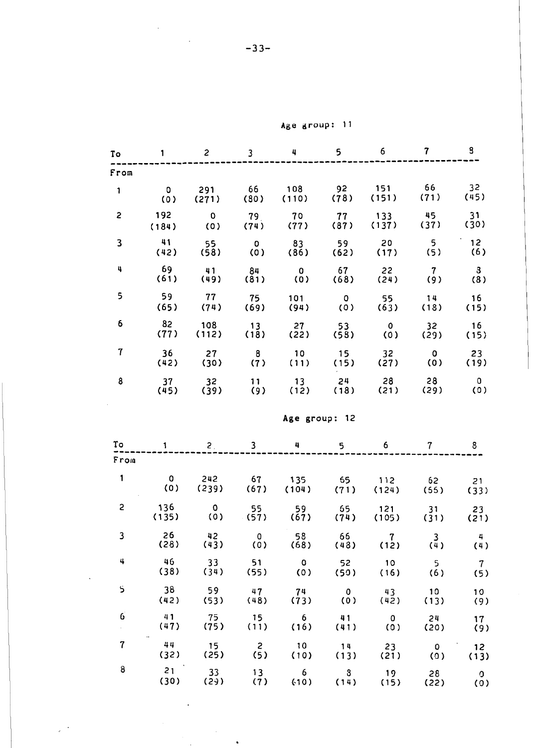$\ddot{\phantom{a}}$ 

Age group: 11

| To               |              | 2              | 3              | 4              | 5            | 6            | 7                | 8               |
|------------------|--------------|----------------|----------------|----------------|--------------|--------------|------------------|-----------------|
| From             |              |                |                |                |              |              |                  |                 |
| $\mathbf{1}$     | $\mathbf{0}$ | 291            | 66             | 108            | 92           | 151          | 66               | 32 <sub>2</sub> |
|                  | (0)          | (271)          | (80)           | (110)          | (78)         | (151)        | (71)             | (45)            |
| $\overline{c}$   | 192          | $\mathbf{o}$   | 79             | 70             | 77           | 133          | 45               | 31              |
|                  | (184)        | (0)            | (74)           | (77)           | (87)         | (137)        | (37)             | (30)            |
| 3                | 41           | 55             | $\mathbf 0$    | 83             | 59           | 20           | 5                | 12 <sub>1</sub> |
|                  | (42)         | (58)           | (0)            | (86)           | (62)         | (17)         | (5)              | (6)             |
| 4                | 69           | 41             | 84             | $\mathbf 0$    | 67           | 22           | 7 <sup>1</sup>   | $\mathbf{3}$    |
|                  | (61)         | (49)           | (81)           | (0)            | (68)         | (24)         | (9)              | (8)             |
| 5                | 59           | 77             | 75             | 101            | $\mathbf{O}$ | 55           | 14               | 16              |
|                  | (65)         | (74)           | (69)           | (94)           | (0)          | (63)         | (18)             | (15)            |
| 6                | 82           | 108            | 13             | 27             | 53           | $\mathbf{o}$ | 32               | 16              |
|                  | (77)         | (112)          | (18)           | (22)           | (58)         | (0)          | (29)             | (15)            |
| $\boldsymbol{7}$ | 36           | 27             | 8              | 10             | 15           | 32           | 0                | 23              |
|                  | (42)         | (30)           | (7)            | (11)           | (15)         | (27)         | (0)              | (19)            |
| 8                | 37           | 32             | 11             | 13             | 24           | 28           | 28               | $\mathbf 0$     |
|                  | (45)         | (39)           | (9)            | (12)           | (18)         | (21)         | (29)             | (0)             |
|                  |              |                |                | Age group: 12  |              |              |                  |                 |
| To               | 1            | 2 <sub>1</sub> | 3              | 4              | 5            | 6            | $\boldsymbol{7}$ | 8               |
| From             |              |                |                |                |              |              |                  |                 |
| $\mathbf{1}$     | $\mathbf 0$  | 242            | 67             | 135            | 65           | 112          | 62               | 21              |
|                  | (0)          | (239)          | (67)           | (104)          | (71)         | (124)        | (55)             | (33)            |
| 2                | 136          | $\mathbf{o}$   | 55             | 59             | 55           | 121          | 31               | 23              |
|                  | (135)        | (0)            | (57)           | (67)           | (74)         | (105)        | (31)             | (21)            |
| 3                | 26           | 42             | 0              | 58             | 66           | $\mathbf 7$  | 3                | 4               |
|                  | (28)         | (43)           | (0)            | (68)           | (48)         | (12)         | $(\bar{4})$      | (4)             |
| 4                | 46           | 33             | 51             | $\mathbf 0$    | 52           | 10           | 5                | 7 <sup>7</sup>  |
|                  | (38)         | (34)           | (55)           | (0)            | (50)         | (16)         | (6)              | (5)             |
| 5                | 38           | 59             | 47             | 74             | $\mathbf 0$  | 43           | 10               | 10 <sub>1</sub> |
|                  | (42)         | (53)           | (48)           | (73)           | (0)          | (42)         | (13)             | (9)             |
| 6                | 41           | 75             | 15             | $6\phantom{a}$ | 41           | $\mathbf 0$  | 24               | 17 <sub>1</sub> |
| $\epsilon$       | (47)         | (75)           | (11)           | (16)           | (41)         | (0)          | (20)             | (9)             |
| $\boldsymbol{7}$ | 44           | 15             | $\overline{c}$ | 10             | 14           | 23           | 0                | 12 <sub>2</sub> |
|                  | (32)         | (25)           | (5)            | (10)           | (13)         | (21)         | (0)              | (13)            |
| $\bf 8$          | 21           | 33             | 13             | 6              | $\bf{3}$     | 19           | 28               | $\overline{O}$  |
|                  | (30)         | (29)           | (7)            | (10)           | (14)         | (15)         | (22)             | (0)             |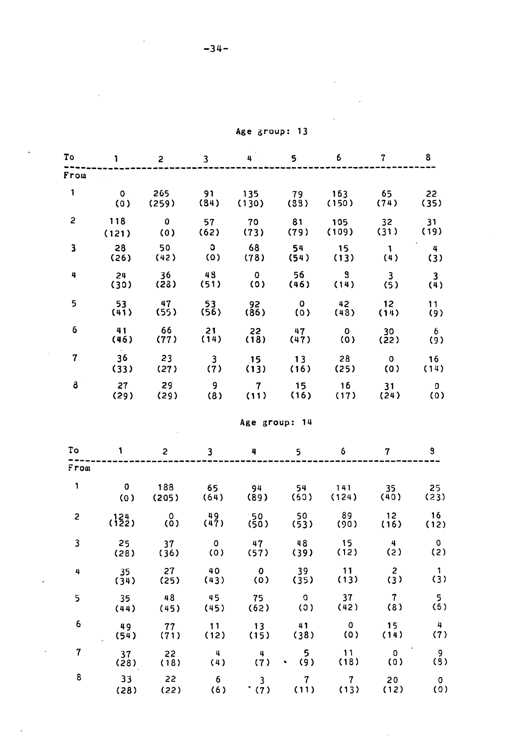$\mathcal{L}_{\text{max}}$ 

 $\mathcal{L}_{\mathcal{A}}$ 

 $\label{eq:2} \frac{1}{2} \int_{\mathbb{R}^3} \frac{1}{\sqrt{2}} \, \frac{1}{\sqrt{2}} \, \frac{1}{\sqrt{2}} \, \frac{1}{\sqrt{2}} \, \frac{1}{\sqrt{2}} \, \frac{1}{\sqrt{2}} \, \frac{1}{\sqrt{2}} \, \frac{1}{\sqrt{2}} \, \frac{1}{\sqrt{2}} \, \frac{1}{\sqrt{2}} \, \frac{1}{\sqrt{2}} \, \frac{1}{\sqrt{2}} \, \frac{1}{\sqrt{2}} \, \frac{1}{\sqrt{2}} \, \frac{1}{\sqrt{2}} \, \frac{1}{\sqrt{2}} \, \frac$ 

 $\mathcal{L}^{\mathcal{A}}$ 

| To               | 1                  | 2                  | 3                       | 4                       | 5              | 6              | 7                       | 8                                                |
|------------------|--------------------|--------------------|-------------------------|-------------------------|----------------|----------------|-------------------------|--------------------------------------------------|
| From             |                    |                    |                         |                         |                |                |                         |                                                  |
| 1                | $\mathbf 0$        | 265                | 91                      | 135                     | 79             | 163            | 65                      | 22                                               |
|                  | (0)                | (259)              | (84)                    | (130)                   | (88)           | (150)          | (74)                    | (35)                                             |
| 2                | 118                | $\pmb{\mathsf{O}}$ | 57                      | 70                      | 81             | 105            | 32                      | 31                                               |
|                  | (121)              | (0)                | (62)                    | (73)                    | (79)           | (109)          | (31)                    | (19)                                             |
| 3                | 28                 | 50                 | $\circ$                 | 68                      | 54             | 15             | $\mathbf{1}$            | 4                                                |
|                  | (26)               | (42)               | (0)                     | (78)                    | (54)           | (13)           | (4)                     | (3)                                              |
| 4                | 24                 | 36                 | 48                      | $\mathbf 0$             | 56             | 3              | $\overline{\mathbf{3}}$ | $\overline{\mathbf{3}}$                          |
|                  | (30)               | (23)               | (51)                    | (0)                     | (46)           | (14)           | (5)                     | (4)                                              |
| 5                | 53                 | 47                 | 53                      | 92                      | $\mathbf 0$    | 42             | 12 <sub>2</sub>         | 11                                               |
|                  | (41)               | (55)               | (56)                    | (86)                    | (0)            | (48)           | (14)                    | (9)                                              |
| 6                | 41                 | 66                 | 21                      | 22                      | 47             | $\mathbf 0$    | 30                      | 6                                                |
|                  | (46)               | (77)               | (14)                    | (18)                    | (47)           | (0)            | (22)                    | (9)                                              |
| 7                | 36                 | 23                 | $\overline{\mathbf{3}}$ | 15                      | 13             | 28             | $\mathbf 0$             | 16                                               |
|                  | (33)               | (27)               | (7)                     | (13)                    | (16)           | (25)           | (0)                     | (14)                                             |
| 8                | 27                 | 29                 | 9                       | $\boldsymbol{7}$        | 15             | 16             | 31                      | 0                                                |
|                  | (29)               | (29)               | (8)                     | (11)                    | (16)           | (17)           | (24)                    | (0)                                              |
|                  |                    |                    |                         | Age group: 14           |                |                |                         |                                                  |
| To               | 1                  | 2                  | $\overline{\mathbf{3}}$ | 4                       | 5              | 6              | $\mathbf 7$             | 8                                                |
| From             |                    |                    |                         |                         |                |                |                         |                                                  |
| $\mathbf{1}$     | $\mathbf 0$        | 188                | 65                      | 94                      | 54             | 141            | 35                      | 25                                               |
|                  | (0)                | (205)              | (64)                    | (89)                    | (60)           | (124)          | (40)                    | (23)                                             |
| $\overline{c}$   | $\binom{124}{122}$ | $\mathbf 0$<br>(0) | 49<br>(47)              | 50<br>(50)              | 50<br>(53)     | 89<br>(90)     | 12<br>(16)              | 16<br>(12)                                       |
| 3                | 25                 | 37                 | 0                       | 47                      | 48             | 15             | 4                       | 0                                                |
|                  | (28)               | (36)               | (0)                     | (57)                    | (39)           | (12)           | (2)                     | (2)                                              |
| 4                | 35                 | 27                 | 40                      | $\mathbf 0$             | 39             | 11             | $\overline{c}$          | $\mathbf{1}$                                     |
|                  | (34)               | (25)               | (43)                    | (0)                     | (35)           | (13)           | (3)                     | (3)                                              |
| 5                | 35                 | 48                 | 45                      | 75                      | o              | 37             | 7 <sup>1</sup>          | 5                                                |
|                  | (44)               | (45)               | (45)                    | (62)                    | (0)            | (42)           | (8)                     | (6)                                              |
| $\boldsymbol{6}$ | 49                 | 77                 | 11                      | 13                      | 41             | $\mathbf 0$    | 15 <sub>1</sub>         | 4                                                |
|                  | (54)               | (71)               | (12)                    | (15)                    | (38)           | (0)            | (14)                    | (7)                                              |
| $\boldsymbol{7}$ | 37<br>(28)         | 22<br>(18)         | 4<br>(4)                | 4<br>(7)                | 5<br>(9)<br>٠  | 11<br>(18)     | $\mathbf{o}$<br>(0)     | $\begin{smallmatrix} 9 \\ (8) \end{smallmatrix}$ |
| 8                | 33                 | 22                 | $6\phantom{a}$          | $\overline{\mathbf{3}}$ | $\overline{7}$ | $\overline{7}$ | 20                      | $\mathbf{o}$                                     |
|                  | (28)               | (22)               | (6)                     | (7)                     | (11)           | (13)           | (12)                    | (0)                                              |

 $\frac{1}{2}$ 

 $\mathcal{A}$ 

÷.

 $\ddot{\phantom{1}}$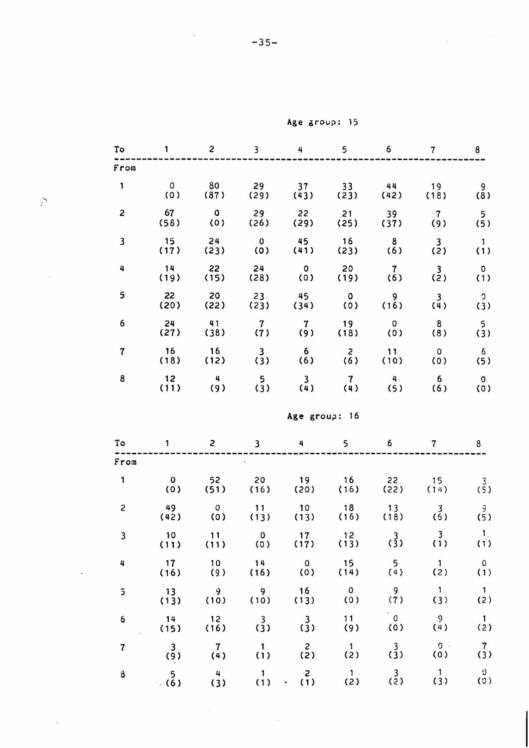$\sim 10^{11}$  km s  $^{-1}$ 

 $\hat{\zeta}$ 

 $\sim 10^{-10}$ 

 $\sim 10^{-1}$ 

Age group: 15

 $\label{eq:2.1} \frac{1}{\sqrt{2\pi}}\int_{\mathbb{R}^3}\frac{1}{\sqrt{2\pi}}\left(\frac{1}{\sqrt{2\pi}}\right)^2\frac{1}{\sqrt{2\pi}}\frac{1}{\sqrt{2\pi}}\frac{1}{\sqrt{2\pi}}\frac{1}{\sqrt{2\pi}}\frac{1}{\sqrt{2\pi}}\frac{1}{\sqrt{2\pi}}\frac{1}{\sqrt{2\pi}}\frac{1}{\sqrt{2\pi}}\frac{1}{\sqrt{2\pi}}\frac{1}{\sqrt{2\pi}}\frac{1}{\sqrt{2\pi}}\frac{1}{\sqrt{2\pi}}\frac{1}{\sqrt{2\pi}}\frac$ 

| To                      | 1                              | $\overline{c}$      | 3                       | 4                       | 5                   | 6                             | $\overline{7}$                 | 8                                      |
|-------------------------|--------------------------------|---------------------|-------------------------|-------------------------|---------------------|-------------------------------|--------------------------------|----------------------------------------|
| From                    |                                |                     |                         |                         |                     |                               |                                |                                        |
| $\mathbf{1}$            | $\mathbf 0$                    | 80                  | 29                      | 37                      | 33 <sup>°</sup>     | 44                            | 19                             | 9                                      |
|                         | (0)                            | (87)                | (29)                    | (43)                    | (23)                | (42)                          | (18)                           | (8)                                    |
| $\overline{a}$          | 67                             | $\mathbf{o}$        | 29                      | 22                      | 21                  | 39                            | 7 <sup>7</sup>                 | 5 <sub>1</sub>                         |
|                         | (58)                           | (0)                 | (26)                    | (29)                    | (25)                | (37)                          | (9)                            | (5)                                    |
| $\mathbf{3}$            | 15                             | 24                  | $\overline{\mathbf{0}}$ | 45                      | 16                  | 8                             | $\overline{\mathbf{3}}$        | $\overline{1}$                         |
|                         | (17)                           | (23)                | (0)                     | (41)                    | (23)                | (6)                           | (2)                            | (1)                                    |
| 4                       | 14                             | 22                  | 24                      | $\overline{\mathbf{0}}$ | 20                  | $\mathbf{7}$                  | $\overline{\mathbf{3}}$        | $\circ$                                |
|                         | (19)                           | (15)                | (28)                    | (0)                     | (19)                | (6)                           | (2)                            | (1)                                    |
| 5                       | 22                             | 20                  | 23                      | 45                      | $\bullet$           | 9                             | $\overline{3}$                 | $\bullet$                              |
|                         | (20)                           | (22)                | (23)                    | (34)                    | (0)                 | (16)                          | (4)                            | (3)                                    |
| 6                       | 24                             | 41                  | $\overline{7}$          | $\overline{7}$          | 19                  | $\mathbf 0$                   | 8 <sub>o</sub>                 | 5 <sub>1</sub>                         |
|                         | (27)                           | (38)                | (7)                     | (9)                     | (18)                | (0)                           | (8)                            | (3)                                    |
| $\boldsymbol{7}$        | 16                             | $-16$               | $\overline{\mathbf{3}}$ | $6\overline{6}$         | $\overline{c}$      | 11                            | $\mathbf{0}$                   | $6\overline{6}$                        |
|                         | (18)                           | (12)                | (3)                     | (6)                     | (6)                 | (10)                          | (0)                            | (5)                                    |
| $\mathbf{8}$            | 12 <sup>12</sup>               | $\frac{1}{4}$       | 5 <sup>1</sup>          | $\overline{\mathbf{3}}$ | $\mathbf{7}$        | - 4                           | 6 <sup>6</sup>                 | $\overline{O}$                         |
|                         | (11)                           | (9)                 | (3)                     | (4)                     | (4)                 | (5)                           | (6)                            | (0)                                    |
|                         |                                |                     |                         | Age group: 16           |                     |                               |                                |                                        |
| Τo                      | $\mathbf{1}$                   | $\overline{2}$      | $\mathbf{3}$            | 4                       | 5                   | 6                             | $\overline{7}$                 | 8                                      |
| From                    |                                |                     |                         |                         |                     |                               |                                |                                        |
| $\mathbf{1}$            | $\mathbf{0}$                   | 52                  | 20                      | 19 <sup>°</sup>         | 16                  | 22                            | 15                             | $\overline{3}$                         |
|                         | (0)                            | (51)                | (16)                    | (20)                    | (16)                | (22)                          | (14)                           | (s)                                    |
| $\overline{c}$          | 49                             | $\overline{0}$      | 11                      | 10                      | 18                  | 13                            | $\overline{3}$                 | $\overline{9}$                         |
|                         | (42)                           | (0)                 | (13)                    | (13)                    | (16)                | (18)                          | $(\overline{6})$               | (5)                                    |
| $\cdot$ 3               | 10<br>(11)                     | 11                  | 0<br>(11) (0) (17) (13) | 17                      | 12 <sub>2</sub>     | $\binom{3}{3}$                | $\overline{\mathbf{3}}$<br>(1) | $\overline{1}$<br>(1)                  |
| 4                       | 17                             | 10 <sub>1</sub>     | 14                      | $\mathbf{O}$            | 15 <sub>1</sub>     | 5                             | $\mathbf{1}$                   | $\mathbf{0}$                           |
|                         | (16)                           | (9)                 | (16)                    | (0)                     | (14)                | (4)                           | (2)                            | (1)                                    |
| $\overline{\mathbf{5}}$ | 13                             | 9                   | 9 <sup>°</sup>          | 16                      | $\mathbf 0$         | 9                             | $\mathbf{1}$                   | $\blacksquare$                         |
|                         | (13)                           | (10)                | (10)                    | (13)                    | (0)                 | (7)                           | (3)                            | (2)                                    |
| $\boldsymbol{6}$        | 14                             | 12 <sub>2</sub>     | $\overline{3}$          | 3 <sup>7</sup>          | 11 <sub>1</sub>     | $\mathbf{0}$                  | 9                              | $\mathbf{1}$                           |
|                         | (15)                           | (16)                | $\overline{3}$          | (3)                     | (9)                 | (0)                           | (4)                            | (2)                                    |
| $\boldsymbol{7}$        | $\mathbf{3}$<br>(9)            | $\mathbf{7}$<br>(4) | $\mathbf{1}$<br>(1)     | $\overline{c}$<br>(2)   | $\mathbf{1}$<br>(2) | $\frac{3}{(3)}$               | $0 -$<br>(0)                   | 7 <sup>7</sup><br>(3)                  |
| $\bf 8$                 | $\overline{\mathbf{5}}$<br>(6) | 4<br>(3)            | $\mathbf{1}$<br>(1)     | $\overline{c}$<br>(1)   | $\mathbf{1}$<br>(2) | $\overline{3}$<br>$(\bar{2})$ | $\mathbf{1}$<br>(3)            | $\begin{pmatrix} 0 \\ 0 \end{pmatrix}$ |

 $\mathcal{L}^{\text{max}}_{\text{max}}$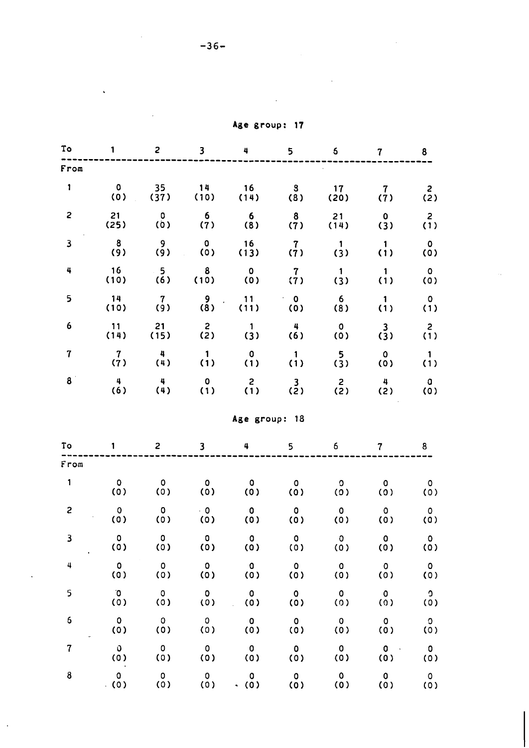$\mathcal{L}_{\mathcal{A}}$ 

 $\ddot{\phantom{a}}$ 

 $\ddot{\phantom{0}}$ 

÷.

 $\ddot{\phantom{a}}$ 

Age group: 17

 $\ddot{\phantom{a}}$ 

 $\sim$   $\sim$ 

 $\hat{\mathcal{A}}$ 

 $\bar{\mathcal{A}}$ 

| To                      | 1                              | 2                          | 3                              | 4                                                               | 5                       | 5                         | 7                                                 | 8                   |
|-------------------------|--------------------------------|----------------------------|--------------------------------|-----------------------------------------------------------------|-------------------------|---------------------------|---------------------------------------------------|---------------------|
| From                    |                                |                            |                                |                                                                 |                         |                           |                                                   |                     |
| 1                       | $\mathbf 0$                    | 35                         | 14                             | 16                                                              | $\mathbf{3}$            | 17                        | 7                                                 | $\overline{c}$      |
|                         | (0)                            | (37)                       | (10)                           | (14)                                                            | (8)                     | (20)                      | (7)                                               | (2)                 |
| $\overline{\mathbf{c}}$ | 21                             | $\mathbf 0$                | $6\overline{6}$                | $6\phantom{.}6$                                                 | $\boldsymbol{8}$        | 21                        | $\mathbf 0$                                       | $\overline{2}$      |
|                         | (25)                           | (0)                        | (7)                            | (8)                                                             | (7)                     | (14)                      | (3)                                               | (1)                 |
| $\mathbf{3}$            | 8                              | $\overline{9}$             | $\mathbf 0$                    | 16                                                              | $\mathbf 7$             | $\mathbf{1}$              | $\mathbf{1}$                                      | $\mathbf 0$         |
|                         | (9)                            | (9)                        | (0)                            | (13)                                                            | (7)                     | (3)                       | (1)                                               | (0)                 |
| 4                       | 16                             | $-5$                       | 8                              | $\mathbf 0$                                                     | $7\phantom{.}$          | $\overline{1}$            | $\mathbf{1}$                                      | $\mathbf{O}$        |
|                         | (10)                           | (6)                        | (10)                           | (0)                                                             | (7)                     | (3)                       | (1)                                               | (0)                 |
| 5                       | 14<br>(10)                     | $\mathbf 7$<br>(9)         | $9(8)$                         | 11<br>(11)                                                      | $\sim$ 0.<br>(0)        | $6\overline{6}$<br>(8)    | $\mathbf{1}$<br>(1)                               | $\mathbf 0$<br>(1)  |
| 6                       | 11                             | 21                         | $\overline{c}$                 | $\mathbf{1}$                                                    | $\frac{1}{2}$           | $\overline{0}$            | $\mathbf{3}$                                      | $\mathbf{2}$        |
|                         | (14)                           | (15)                       | (2)                            | (3)                                                             | (6)                     | (0)                       | (3)                                               | (1)                 |
| $\overline{\mathbf{7}}$ | $\mathbf 7$                    | 4                          | $\mathbf{1}$                   | $\circ$                                                         | $\overline{\mathbf{1}}$ | 5                         | $\mathbf 0$                                       | $\mathbf{1}$        |
|                         | (7)                            | (4)                        | (1)                            | (1)                                                             | (1)                     | (3)                       | (0)                                               | (1)                 |
| 8                       | $\overline{\mathbf{4}}$<br>(6) | -4<br>(4)                  | $\overline{\mathbf{0}}$<br>(1) | $\overline{c}$<br>(1)                                           | $\frac{3}{(2)}$         | $\overline{2}$<br>(2)     | 4<br>(2)                                          | $\mathbf{0}$<br>(0) |
|                         |                                |                            |                                | Age group: 18                                                   |                         |                           |                                                   |                     |
| To                      | 1                              | $\overline{c}$             | 3                              | 4                                                               | 5                       | 6                         | 7                                                 | 8                   |
| From                    |                                |                            |                                |                                                                 |                         |                           |                                                   |                     |
| $\mathbf{1}$            | $\mathbf{o}$                   | $\mathbf 0$                | $\mathbf 0$                    | $\mathbf 0$                                                     | $\mathbf 0$             | $\circ$                   | 0                                                 | $\mathbf 0$         |
|                         | (0)                            | (0)                        | (0)                            | (0)                                                             | (0)                     | (0)                       | (0)                                               | (0)                 |
| 2                       | $\circ$                        | $\overline{\mathbf{0}}$    | $\cdot$ 0                      | $\mathbf 0$                                                     | $\mathbf 0$             | $\mathbf 0$               | $\mathbf{o}$                                      | $\mathbf{O}$        |
|                         | (0)                            | (0)                        | (0)                            | (0)                                                             | (0)                     | (0)                       | (0)                                               | (0)                 |
| 3                       | 0                              | 0                          | $\pmb{\mathsf{O}}$             | $\mathbf 0$                                                     | 0                       | $\mathbf{o}$              | $\mathbf{o}$                                      | $\mathbf 0$         |
|                         | (0)                            | (0)                        | (0)                            | (0)                                                             | (0)                     | (0)                       | (0)                                               | (0)                 |
| 4                       | $\mathbf 0$                    | $\mathbf 0$                | $\mathbf{o}$                   | $\mathbf{o}$                                                    | $\mathbf{o}$            | $\mathbf{o}$              | $\mathbf 0$                                       | $\mathbf{o}$        |
|                         | (0)                            | (0)                        | (0)                            | (0)                                                             | (0)                     | (0)                       | (0)                                               | (0)                 |
| 5                       | $\mathbf{O}$<br>(0)            | $\mathsf{O}\xspace$<br>(0) | $\pmb{\mathsf{O}}$<br>(0)      | $\mathbf 0$<br>(0)<br>$\mathbf{r}$                              | $\mathbf 0$<br>(0)      | $\mathbf 0$<br>(0)        | $\begin{smallmatrix}0\0\end{smallmatrix}$         | $\mathbf{C}$<br>(0) |
| $\mathfrak s$           | $\mathbf 0$                    | $\pmb{\mathsf{O}}$         | $\pmb{0}$                      | $\pmb{\mathsf{O}}$                                              | $\mathbf 0$             | $\mathsf 0$               | $\pmb{\mathsf{O}}$                                | $\circ$             |
|                         | (0)                            | (0)                        | (0)                            | (0)                                                             | (0)                     | (0)                       | (0)                                               | (0)                 |
| $\overline{\mathbf{7}}$ | $\mathbf 0$<br>(0)             | $\pmb{\mathsf{o}}$<br>(0)  | $\pmb{\mathsf{O}}$<br>(0)      | $\pmb{\mathsf{O}}$<br>(0)                                       | $\mathbf 0$<br>(0)      | $\pmb{\mathsf{O}}$<br>(0) | $\pmb{\mathsf{O}}$<br>$\ddot{\phantom{a}}$<br>(0) | $\pmb{0}$<br>(0)    |
| $\bf{8}$                | $\mathbf 0$<br>(0)             | $\mathbf{o}$<br>(0)        | $\mathbf 0$<br>(0)             | $\begin{smallmatrix} & & 0 \\ & \ddots & & 0 \end{smallmatrix}$ | $\mathbf 0$<br>(0)      | $\mathsf{o}\,$<br>(0)     | $\mathbf 0$<br>(0)                                | $\mathbf{O}$<br>(0) |